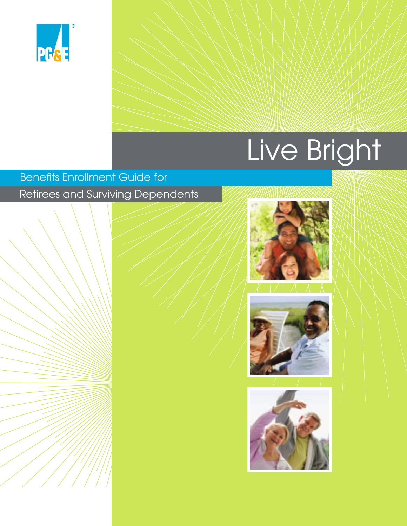

# Live Bright

### **Benefits Enrollment Guide for** Retirees and Surviving Dependents





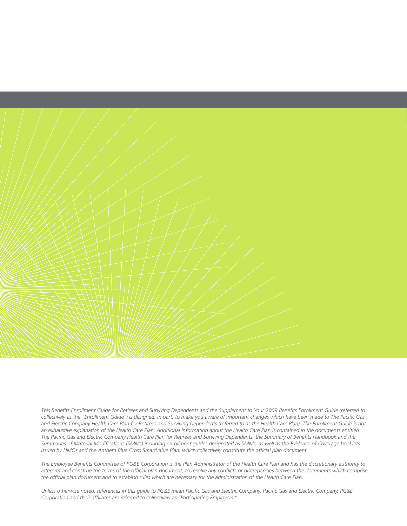

This Benefits Enrollment Guide for Retirees and Surviving Dependents and the Supplement to Your 2009 Benefits Enrollment Guide (referred to collectively as the "Enrollment Guide") is designed, in part, to make you aware of important changes which have been made to The Pacific Gas *and Electric Company Health Care Plan for Retirees and Surviving Dependents (referred to as the Health Care Plan). The Enrollment Guide is not an exhaustive explanation of the Health Care Plan. Additional information about the Health Care Plan is contained in the documents entitled* The Pacific Gas and Electric Company Health Care Plan for Retirees and Surviving Dependents, the Summary of Benefits Handbook and the Summaries of Material Modifications (SMMs) including enrollment guides designated as SMMs, as well as the Evidence of Coverage booklets *issued by HMOs and the Anthem Blue Cross SmartValue Plan, which collectively constitute the official plan document.* 

The Employee Benefits Committee of PG&E Corporation is the Plan Administrator of the Health Care Plan and has the discretionary authority to interpret and construe the terms of the official plan document, to resolve any conflicts or discrepancies between the documents which comprise the official plan document and to establish rules which are necessary for the administration of the Health Care Plan.

Unless otherwise noted, references in this quide to PG&E mean Pacific Gas and Electric Company. Pacific Gas and Electric Company, PG&E Corporation and their affiliates are referred to collectively as "Participating Employers."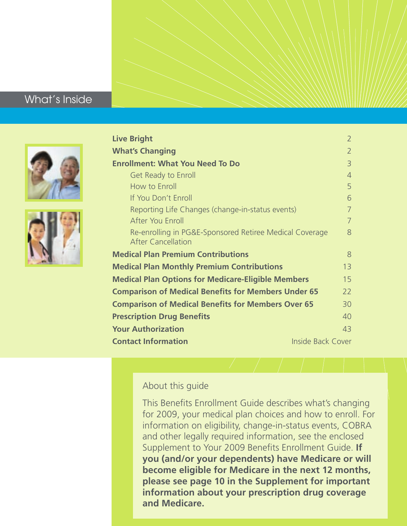### What's Inside





| <b>Live Bright</b>                                                                   | $\overline{2}$ |
|--------------------------------------------------------------------------------------|----------------|
| <b>What's Changing</b>                                                               | $\overline{2}$ |
| <b>Enrollment: What You Need To Do</b>                                               | $\overline{3}$ |
| Get Ready to Enroll                                                                  | $\overline{4}$ |
| How to Enroll                                                                        | 5              |
| If You Don't Enroll                                                                  | 6              |
| Reporting Life Changes (change-in-status events)                                     | $\overline{7}$ |
| After You Enroll                                                                     | $\overline{7}$ |
| Re-enrolling in PG&E-Sponsored Retiree Medical Coverage<br><b>After Cancellation</b> | 8              |
| <b>Medical Plan Premium Contributions</b>                                            | 8              |
| <b>Medical Plan Monthly Premium Contributions</b>                                    | 13             |
| <b>Medical Plan Options for Medicare-Eligible Members</b>                            | 15             |
| <b>Comparison of Medical Benefits for Members Under 65</b>                           | 22             |
| <b>Comparison of Medical Benefits for Members Over 65</b>                            | 30             |
| <b>Prescription Drug Benefits</b>                                                    | 40             |
| <b>Your Authorization</b>                                                            | 43             |
| <b>Contact Information</b><br><b>Inside Back Cover</b>                               |                |

#### About this guide

This Benefits Enrollment Guide describes what's changing for 2009, your medical plan choices and how to enroll. For information on eligibility, change-in-status events, COBRA and other legally required information, see the enclosed Supplement to Your 2009 Benefits Enrollment Guide. If **you (and/or your dependents) have Medicare or will become eligible for Medicare in the next 12 months, please see page 10 in the Supplement for important information about your prescription drug coverage and Medicare.**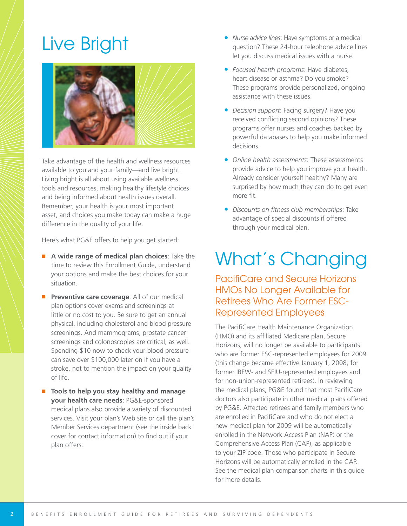# Live Bright



Take advantage of the health and wellness resources available to you and your family—and live bright. Living bright is all about using available wellness tools and resources, making healthy lifestyle choices and being informed about health issues overall. Remember, your health is your most important asset, and choices you make today can make a huge difference in the quality of your life.

Here's what PG&E offers to help you get started:

- **A wide range of medical plan choices**: Take the time to review this Enrollment Guide, understand your options and make the best choices for your situation.
- **Preventive care coverage: All of our medical** plan options cover exams and screenings at little or no cost to you. Be sure to get an annual physical, including cholesterol and blood pressure screenings. And mammograms, prostate cancer screenings and colonoscopies are critical, as well. Spending \$10 now to check your blood pressure can save over \$100,000 later on if you have a stroke, not to mention the impact on your quality of life.
- **Tools to help you stay healthy and manage your health care needs**: PG&E-sponsored medical plans also provide a variety of discounted services. Visit your plan's Web site or call the plan's Member Services department (see the inside back cover for contact information) to find out if your plan offers:
- *• Nurse advice lines*: Have symptoms or a medical question? These 24-hour telephone advice lines let you discuss medical issues with a nurse.
- *• Focused health programs*: Have diabetes, heart disease or asthma? Do you smoke? These programs provide personalized, ongoing assistance with these issues.
- *• Decision support*: Facing surgery? Have you received conflicting second opinions? These programs offer nurses and coaches backed by powerful databases to help you make informed decisions.
- *• Online health assessments*: These assessments provide advice to help you improve your health. Already consider yourself healthy? Many are surprised by how much they can do to get even more fit.
- *Discounts on fitness club memberships*: Take advantage of special discounts if offered through your medical plan.

# What's Changing

Pacifi Care and Secure Horizons HMOs No Longer Available for Retirees Who Are Former ESC-Represented Employees

The PacifiCare Health Maintenance Organization (HMO) and its affiliated Medicare plan, Secure Horizons, will no longer be available to participants who are former ESC-represented employees for 2009 (this change became effective January 1, 2008, for former IBEW- and SEIU-represented employees and for non-union-represented retirees). In reviewing the medical plans, PG&E found that most PacifiCare doctors also participate in other medical plans offered by PG&E. Affected retirees and family members who are enrolled in PacifiCare and who do not elect a new medical plan for 2009 will be automatically enrolled in the Network Access Plan (NAP) or the Comprehensive Access Plan (CAP), as applicable to your ZIP code. Those who participate in Secure Horizons will be automatically enrolled in the CAP. See the medical plan comparison charts in this guide for more details.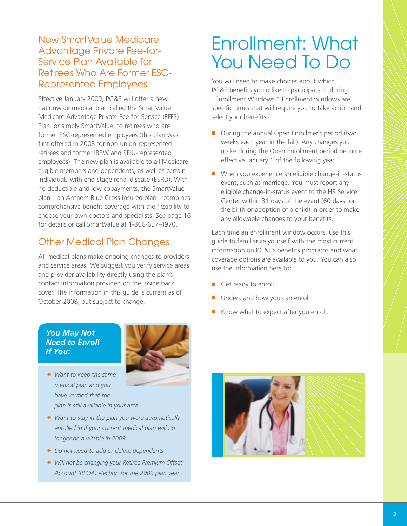### New SmartValue Medicare Advantage Private Fee-for-Service Plan Available for Retirees Who Are Former ESC-Represented Employees

Effective January 2009, PG&E will offer a new, nationwide medical plan called the SmartValue Medicare Advantage Private Fee-for-Service (PFFS) Plan, or simply SmartValue, to retirees who are former ESC-represented employees (this plan was first offered in 2008 for non-union-represented retirees and former IBEW and SEIU-represented employees). The new plan is available to all Medicareeligible members and dependents, as well as certain individuals with end-stage renal disease (ESRD). With no deductible and low copayments, the SmartValue plan—an Anthem Blue Cross insured plan—combines comprehensive benefit coverage with the flexibility to choose your own doctors and specialists. See page 16 for details or call SmartValue at 1-866-657-4970.

### Other Medical Plan Changes

All medical plans make ongoing changes to providers and service areas. We suggest you verify service areas and provider availability directly using the plan's contact information provided on the inside back cover. The information in this guide is current as of October 2008, but subject to change.

#### *You May Not Need to Enroll If You:*



- ◆ *Want to keep the same medical plan and you* have verified that the *plan is still available in your area*
- ◆ *Want to stay in the plan you were automatically enrolled in if your current medical plan will no longer be available in 2009*
- ◆ *Do not need to add or delete dependents*
- ◆ *Will not be changing your Retiree Premium Offset Account (RPOA) election for the 2009 plan year*

# Enrollment: What You Need To Do

You will need to make choices about which PG&E benefits you'd like to participate in during "Enrollment Windows." Enrollment windows are specific times that will require you to take action and select your benefits:

- During the annual Open Enrollment period (two weeks each year in the fall). Any changes you make during the Open Enrollment period become effective January 1 of the following year.
- When you experience an eligible change-in-status event, such as marriage. You must report any eligible change-in-status event to the HR Service Center within 31 days of the event (60 days for the birth or adoption of a child) in order to make any allowable changes to your benefits.

Each time an enrollment window occurs, use this guide to familiarize yourself with the most current information on PG&E's benefits programs and what coverage options are available to you. You can also use the information here to:

- Get ready to enroll
- Understand how you can enroll
- Know what to expect after you enroll.

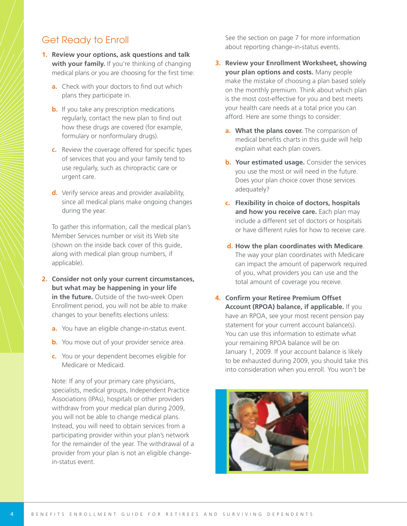### Get Ready to Enroll

- **1. Review your options, ask questions and talk with your family.** If you're thinking of changing medical plans or you are choosing for the first time:
	- **a.** Check with your doctors to find out which plans they participate in.
	- **b.** If you take any prescription medications regularly, contact the new plan to find out how these drugs are covered (for example, formulary or nonformulary drugs).
	- **c.** Review the coverage offered for specific types of services that you and your family tend to use regularly, such as chiropractic care or urgent care.
	- **d.** Verify service areas and provider availability, since all medical plans make ongoing changes during the year.

To gather this information, call the medical plan's Member Services number or visit its Web site (shown on the inside back cover of this guide, along with medical plan group numbers, if applicable).

- **2. Consider not only your current circumstances, but what may be happening in your life in the future.** Outside of the two-week Open Enrollment period, you will not be able to make changes to your benefits elections unless:
	- **a.** You have an eligible change-in-status event.
	- **b.** You move out of your provider service area.
	- **c.** You or your dependent becomes eligible for Medicare or Medicaid.

Note: If any of your primary care physicians, specialists, medical groups, Independent Practice Associations (IPAs), hospitals or other providers withdraw from your medical plan during 2009, you will not be able to change medical plans. Instead, you will need to obtain services from a participating provider within your plan's network for the remainder of the year. The withdrawal of a provider from your plan is not an eligible changein-status event.

See the section on page 7 for more information about reporting change-in-status events.

- **3. Review your Enrollment Worksheet, showing your plan options and costs.** Many people make the mistake of choosing a plan based solely on the monthly premium. Think about which plan is the most cost-effective for you and best meets your health care needs at a total price you can afford. Here are some things to consider:
	- **a. What the plans cover.** The comparison of medical benefits charts in this guide will help explain what each plan covers.
	- **b. Your estimated usage.** Consider the services you use the most or will need in the future. Does your plan choice cover those services adequately?
	- **c. Flexibility in choice of doctors, hospitals and how you receive care.** Each plan may include a different set of doctors or hospitals or have different rules for how to receive care.
	- **d. How the plan coordinates with Medicare**. The way your plan coordinates with Medicare can impact the amount of paperwork required of you, what providers you can use and the total amount of coverage you receive.
- **4. Confirm your Retiree Premium Offset Account (RPOA) balance, if applicable.** If you have an RPOA, see your most recent pension pay statement for your current account balance(s). You can use this information to estimate what your remaining RPOA balance will be on January 1, 2009. If your account balance is likely to be exhausted during 2009, you should take this into consideration when you enroll. You won't be

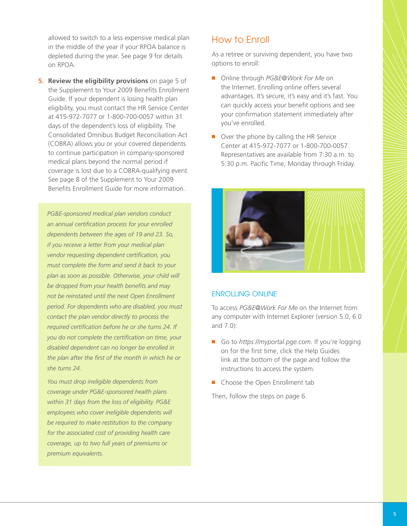allowed to switch to a less expensive medical plan in the middle of the year if your RPOA balance is depleted during the year. See page 9 for details on RPOA.

**5. Review the eligibility provisions** on page 5 of the Supplement to Your 2009 Benefits Enrollment Guide. If your dependent is losing health plan eligibility, you must contact the HR Service Center at 415-972-7077 or 1-800-700-0057 within 31 days of the dependent's loss of eligibility. The Consolidated Omnibus Budget Reconciliation Act (COBRA) allows you or your covered dependents to continue participation in company-sponsored medical plans beyond the normal period if coverage is lost due to a COBRA-qualifying event. See page 8 of the Supplement to Your 2009 Benefits Enrollment Guide for more information

*PG&E-sponsored medical plan vendors conduct* an annual certification process for your enrolled *dependents between the ages of 19 and 23. So, if you receive a letter from your medical plan vendor requesting dependent certification, you must complete the form and send it back to your plan as soon as possible. Otherwise, your child will* be dropped from your health benefits and may *not be reinstated until the next Open Enrollment period. For dependents who are disabled, you must contact the plan vendor directly to process the* required certification before he or she turns 24. If you do not complete the certification on time, your *disabled dependent can no longer be enrolled in* the plan after the first of the month in which he or *she turns 24.*

*You must drop ineligible dependents from coverage under PG&E-sponsored health plans within 31 days from the loss of eligibility. PG&E employees who cover ineligible dependents will be required to make restitution to the company for the associated cost of providing health care coverage, up to two full years of premiums or premium equivalents.*

#### How to Enroll

As a retiree or surviving dependent, you have two options to enroll:

- Online through *PG&E@Work For Me* on the Internet. Enrolling online offers several advantages. It's secure, it's easy and it's fast. You can quickly access your benefit options and see your confirmation statement immediately after you've enrolled.
- Over the phone by calling the HR Service Center at 415-972-7077 or 1-800-700-0057. Representatives are available from 7:30 a.m. to 5:30 p.m. Pacific Time, Monday through Friday.



#### ENROLLING ONLINE

To access *PG&E@Work For Me* on the Internet from any computer with Internet Explorer (version 5.0, 6.0 and 7.0):

- Go to *https://myportal.pge.com*. If you're logging on for the first time, click the Help Guides link at the bottom of the page and follow the instructions to access the system.
- Choose the Open Enrollment tab

Then, follow the steps on page 6.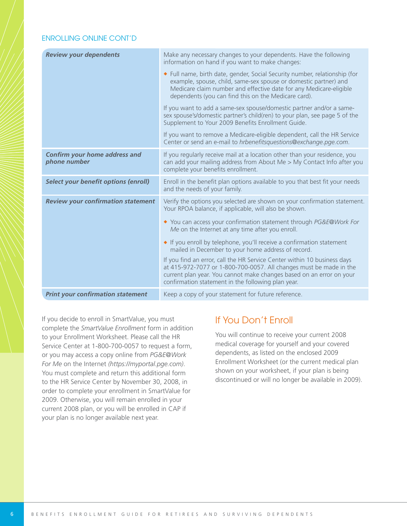#### ENROLLING ONLINE CONT'D

| <b>Review your dependents</b>                        | Make any necessary changes to your dependents. Have the following<br>information on hand if you want to make changes:                                                                                                                                                        |
|------------------------------------------------------|------------------------------------------------------------------------------------------------------------------------------------------------------------------------------------------------------------------------------------------------------------------------------|
|                                                      | • Full name, birth date, gender, Social Security number, relationship (for<br>example, spouse, child, same-sex spouse or domestic partner) and<br>Medicare claim number and effective date for any Medicare-eligible<br>dependents (you can find this on the Medicare card). |
|                                                      | If you want to add a same-sex spouse/domestic partner and/or a same-<br>sex spouse's/domestic partner's child(ren) to your plan, see page 5 of the<br>Supplement to Your 2009 Benefits Enrollment Guide.                                                                     |
|                                                      | If you want to remove a Medicare-eligible dependent, call the HR Service<br>Center or send an e-mail to hrbenefitsquestions@exchange.pge.com.                                                                                                                                |
| <b>Confirm your home address and</b><br>phone number | If you regularly receive mail at a location other than your residence, you<br>can add your mailing address from About Me > My Contact Info after you<br>complete your benefits enrollment.                                                                                   |
| <b>Select your benefit options (enroll)</b>          | Enroll in the benefit plan options available to you that best fit your needs<br>and the needs of your family.                                                                                                                                                                |
| <b>Review your confirmation statement</b>            | Verify the options you selected are shown on your confirmation statement.<br>Your RPOA balance, if applicable, will also be shown.                                                                                                                                           |
|                                                      | ◆ You can access your confirmation statement through PG&E@Work For<br>Me on the Internet at any time after you enroll.                                                                                                                                                       |
|                                                      | If you enroll by telephone, you'll receive a confirmation statement<br>mailed in December to your home address of record.                                                                                                                                                    |
|                                                      | If you find an error, call the HR Service Center within 10 business days<br>at 415-972-7077 or 1-800-700-0057. All changes must be made in the<br>current plan year. You cannot make changes based on an error on your<br>confirmation statement in the following plan year. |
| <b>Print your confirmation statement</b>             | Keep a copy of your statement for future reference.                                                                                                                                                                                                                          |

If you decide to enroll in SmartValue, you must complete the *SmartValue Enrollment* form in addition to your Enrollment Worksheet. Please call the HR Service Center at 1-800-700-0057 to request a form, or you may access a copy online from *PG&E@Work For Me* on the Internet *(https://myportal.pge.com)*. You must complete and return this additional form to the HR Service Center by November 30, 2008, in order to complete your enrollment in SmartValue for 2009. Otherwise, you will remain enrolled in your current 2008 plan, or you will be enrolled in CAP if your plan is no longer available next year.

### If You Don't Enroll

You will continue to receive your current 2008 medical coverage for yourself and your covered dependents, as listed on the enclosed 2009 Enrollment Worksheet (or the current medical plan shown on your worksheet, if your plan is being discontinued or will no longer be available in 2009).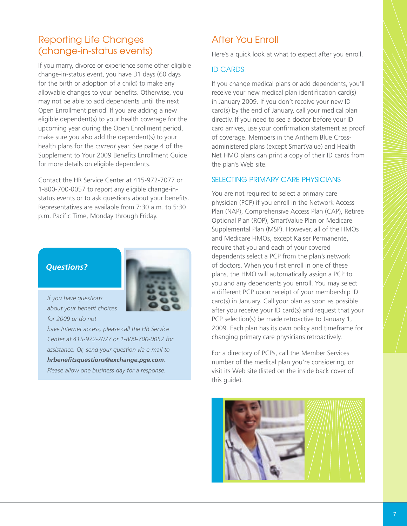### Reporting Life Changes (change-in-status events)

If you marry, divorce or experience some other eligible change-in-status event, you have 31 days (60 days for the birth or adoption of a child) to make any allowable changes to your benefits. Otherwise, you may not be able to add dependents until the next Open Enrollment period. If you are adding a new eligible dependent(s) to your health coverage for the upcoming year during the Open Enrollment period, make sure you also add the dependent(s) to your health plans for the *current* year. See page 4 of the Supplement to Your 2009 Benefits Enrollment Guide for more details on eligible dependents.

Contact the HR Service Center at 415-972-7077 or 1-800-700-0057 to report any eligible change-instatus events or to ask questions about your benefits. Representatives are available from 7:30 a.m. to 5:30 p.m. Pacific Time, Monday through Friday.

#### *Questions?*



*If you have questions* about your benefit choices *for 2009 or do not*

*have Internet access, please call the HR Service Center at 415-972-7077 or 1-800-700-0057 for assistance. Or, send your question via e-mail to hrbenefi tsquestions@exchange.pge.com. Please allow one business day for a response.*

### After You Enroll

Here's a quick look at what to expect after you enroll.

#### ID CARDS

If you change medical plans or add dependents, you'll receive your new medical plan identification card(s) in January 2009. If you don't receive your new ID card(s) by the end of January, call your medical plan directly. If you need to see a doctor before your ID card arrives, use your confirmation statement as proof of coverage. Members in the Anthem Blue Crossadministered plans (except SmartValue) and Health Net HMO plans can print a copy of their ID cards from the plan's Web site.

#### SELECTING PRIMARY CARE PHYSICIANS

You are not required to select a primary care physician (PCP) if you enroll in the Network Access Plan (NAP), Comprehensive Access Plan (CAP), Retiree Optional Plan (ROP), SmartValue Plan or Medicare Supplemental Plan (MSP). However, all of the HMOs and Medicare HMOs, except Kaiser Permanente, require that you and each of your covered dependents select a PCP from the plan's network of doctors. When you first enroll in one of these plans, the HMO will automatically assign a PCP to you and any dependents you enroll. You may select a different PCP upon receipt of your membership ID card(s) in January. Call your plan as soon as possible after you receive your ID card(s) and request that your PCP selection(s) be made retroactive to January 1, 2009. Each plan has its own policy and timeframe for changing primary care physicians retroactively.

For a directory of PCPs, call the Member Services number of the medical plan you're considering, or visit its Web site (listed on the inside back cover of this guide).

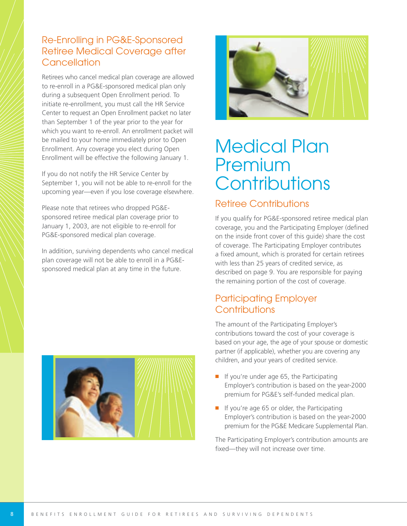### Re-Enrolling in PG&E-Sponsored Retiree Medical Coverage after **Cancellation**

Retirees who cancel medical plan coverage are allowed to re-enroll in a PG&E-sponsored medical plan only during a subsequent Open Enrollment period. To initiate re-enrollment, you must call the HR Service Center to request an Open Enrollment packet no later than September 1 of the year prior to the year for which you want to re-enroll. An enrollment packet will be mailed to your home immediately prior to Open Enrollment. Any coverage you elect during Open Enrollment will be effective the following January 1.

If you do not notify the HR Service Center by September 1, you will not be able to re-enroll for the upcoming year—even if you lose coverage elsewhere.

Please note that retirees who dropped PG&Esponsored retiree medical plan coverage prior to January 1, 2003, are not eligible to re-enroll for PG&E-sponsored medical plan coverage.

In addition, surviving dependents who cancel medical plan coverage will not be able to enroll in a PG&Esponsored medical plan at any time in the future.





# Medical Plan Premium **Contributions**

#### Retiree Contributions

If you qualify for PG&E-sponsored retiree medical plan coverage, you and the Participating Employer (defined on the inside front cover of this guide) share the cost of coverage. The Participating Employer contributes a fixed amount, which is prorated for certain retirees with less than 25 years of credited service, as described on page 9. You are responsible for paying the remaining portion of the cost of coverage.

### Participating Employer **Contributions**

The amount of the Participating Employer's contributions toward the cost of your coverage is based on your age, the age of your spouse or domestic partner (if applicable), whether you are covering any children, and your years of credited service.

- If you're under age 65, the Participating Employer's contribution is based on the year-2000 premium for PG&E's self-funded medical plan.
- If you're age 65 or older, the Participating Employer's contribution is based on the year-2000 premium for the PG&E Medicare Supplemental Plan.

The Participating Employer's contribution amounts are fixed—they will not increase over time.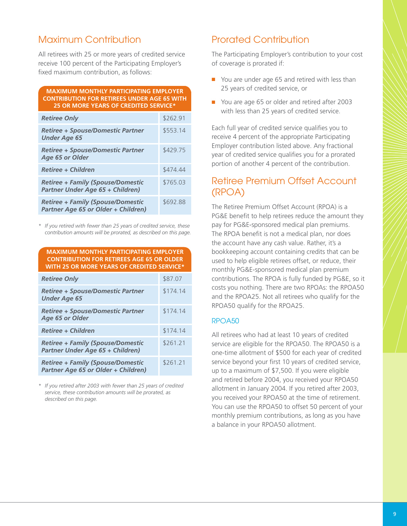#### Maximum Contribution

All retirees with 25 or more years of credited service receive 100 percent of the Participating Employer's fixed maximum contribution, as follows:

#### **MAXIMUM MONTHLY PARTICIPATING EMPLOYER CONTRIBUTION FOR RETIREES UNDER AGE 65 WITH 25 OR MORE YEARS OF CREDITED SERVICE\***

| <b>Retiree Only</b>                                                                    | \$262.91 |
|----------------------------------------------------------------------------------------|----------|
| <b>Retiree + Spouse/Domestic Partner</b><br><b>Under Age 65</b>                        | \$553.14 |
| <b>Retiree + Spouse/Domestic Partner</b><br>Age 65 or Older                            | \$429.75 |
| <b>Retiree + Children</b>                                                              | \$474.44 |
| <b>Retiree + Family (Spouse/Domestic</b><br>Partner Under Age 65 + Children)           | \$765.03 |
| <b>Retiree + Family (Spouse/Domestic</b><br><b>Partner Age 65 or Older + Children)</b> | \$692.88 |

*\* If you retired with fewer than 25 years of credited service, these contribution amounts will be prorated, as described on this page.*

| <b>MAXIMUM MONTHLY PARTICIPATING EMPLOYER</b><br><b>CONTRIBUTION FOR RETIREES AGE 65 OR OLDER</b><br>WITH 25 OR MORE YEARS OF CREDITED SERVICE* |          |  |  |  |
|-------------------------------------------------------------------------------------------------------------------------------------------------|----------|--|--|--|
| <b>Retiree Only</b>                                                                                                                             | \$87.07  |  |  |  |
| <b>Retiree + Spouse/Domestic Partner</b><br><b>Under Age 65</b>                                                                                 | \$174.14 |  |  |  |
| <b>Retiree + Spouse/Domestic Partner</b><br>Age 65 or Older                                                                                     | \$174.14 |  |  |  |
| <b>Retiree + Children</b>                                                                                                                       | \$174.14 |  |  |  |
| <b>Retiree + Family (Spouse/Domestic</b><br>Partner Under Age 65 + Children)                                                                    | \$261.21 |  |  |  |
| <b>Retiree + Family (Spouse/Domestic</b><br>Partner Age 65 or Older + Children)                                                                 | \$261.21 |  |  |  |

*\* If you retired after 2003 with fewer than 25 years of credited service, these contribution amounts will be prorated, as described on this page.*

#### Prorated Contribution

The Participating Employer's contribution to your cost of coverage is prorated if:

- You are under age 65 and retired with less than 25 years of credited service, or
- You are age 65 or older and retired after 2003 with less than 25 years of credited service.

Each full year of credited service qualifies you to receive 4 percent of the appropriate Participating Employer contribution listed above. Any fractional year of credited service qualifies you for a prorated portion of another 4 percent of the contribution.

#### Retiree Premium Offset Account (RPOA)

The Retiree Premium Offset Account (RPOA) is a PG&E benefit to help retirees reduce the amount they pay for PG&E-sponsored medical plan premiums. The RPOA benefit is not a medical plan, nor does the account have any cash value. Rather, it's a bookkeeping account containing credits that can be used to help eligible retirees offset, or reduce, their monthly PG&E-sponsored medical plan premium contributions. The RPOA is fully funded by PG&E, so it costs you nothing. There are two RPOAs: the RPOA50 and the RPOA25. Not all retirees who qualify for the RPOA50 qualify for the RPOA25.

#### RPOA50

All retirees who had at least 10 years of credited service are eligible for the RPOA50. The RPOA50 is a one-time allotment of \$500 for each year of credited service beyond your first 10 years of credited service, up to a maximum of \$7,500. If you were eligible and retired before 2004, you received your RPOA50 allotment in January 2004. If you retired after 2003, you received your RPOA50 at the time of retirement. You can use the RPOA50 to offset 50 percent of your monthly premium contributions, as long as you have a balance in your RPOA50 allotment.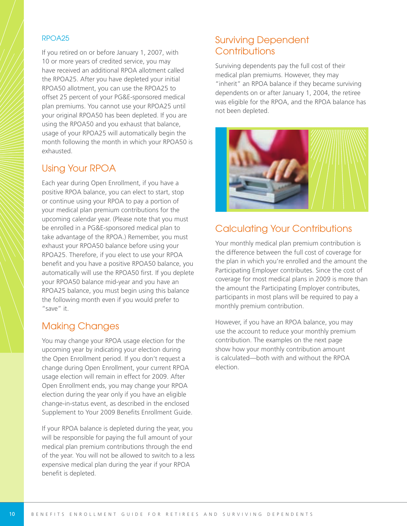#### RPOA25

If you retired on or before January 1, 2007, with 10 or more years of credited service, you may have received an additional RPOA allotment called the RPOA25. After you have depleted your initial RPOA50 allotment, you can use the RPOA25 to offset 25 percent of your PG&E-sponsored medical plan premiums. You cannot use your RPOA25 until your original RPOA50 has been depleted. If you are using the RPOA50 and you exhaust that balance, usage of your RPOA25 will automatically begin the month following the month in which your RPOA50 is exhausted.

#### Using Your RPOA

Each year during Open Enrollment, if you have a positive RPOA balance, you can elect to start, stop or continue using your RPOA to pay a portion of your medical plan premium contributions for the upcoming calendar year. (Please note that you must be enrolled in a PG&E-sponsored medical plan to take advantage of the RPOA.) Remember, you must exhaust your RPOA50 balance before using your RPOA25. Therefore, if you elect to use your RPOA benefit and you have a positive RPOA50 balance, you automatically will use the RPOA50 first. If you deplete your RPOA50 balance mid-year and you have an RPOA25 balance, you must begin using this balance the following month even if you would prefer to "save" it.

### Making Changes

You may change your RPOA usage election for the upcoming year by indicating your election during the Open Enrollment period. If you don't request a change during Open Enrollment, your current RPOA usage election will remain in effect for 2009. After Open Enrollment ends, you may change your RPOA election during the year only if you have an eligible change-in-status event, as described in the enclosed Supplement to Your 2009 Benefits Enrollment Guide.

If your RPOA balance is depleted during the year, you will be responsible for paying the full amount of your medical plan premium contributions through the end of the year. You will not be allowed to switch to a less expensive medical plan during the year if your RPOA benefit is depleted.

### Surviving Dependent **Contributions**

Surviving dependents pay the full cost of their medical plan premiums. However, they may "inherit" an RPOA balance if they became surviving dependents on or after January 1, 2004, the retiree was eligible for the RPOA, and the RPOA balance has not been depleted.



### Calculating Your Contributions

Your monthly medical plan premium contribution is the difference between the full cost of coverage for the plan in which you're enrolled and the amount the Participating Employer contributes. Since the cost of coverage for most medical plans in 2009 is more than the amount the Participating Employer contributes, participants in most plans will be required to pay a monthly premium contribution.

However, if you have an RPOA balance, you may use the account to reduce your monthly premium contribution. The examples on the next page show how your monthly contribution amount is calculated—both with and without the RPOA election.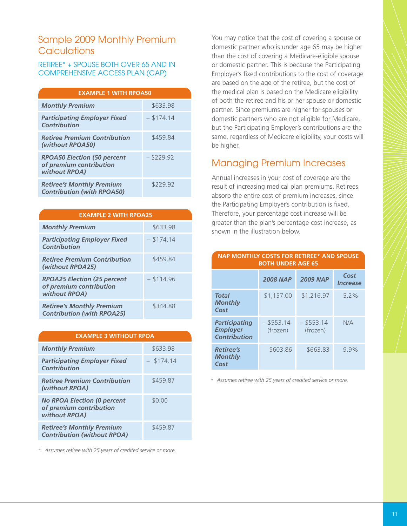#### Sample 2009 Monthly Premium **Calculations**

#### RETIREE\* + SPOUSE BOTH OVER 65 AND IN COMPREHENSIVE ACCESS PLAN (CAP)

| <b>EXAMPLE 1 WITH RPOA50</b>                                                   |              |  |  |  |  |  |
|--------------------------------------------------------------------------------|--------------|--|--|--|--|--|
| <b>Monthly Premium</b>                                                         | \$633.98     |  |  |  |  |  |
| <b>Participating Employer Fixed</b><br>Contribution                            | $-$ \$174.14 |  |  |  |  |  |
| <b>Retiree Premium Contribution</b><br>(without RPOA50)                        | \$459.84     |  |  |  |  |  |
| <b>RPOA50 Election (50 percent</b><br>of premium contribution<br>without RPOA) | $- $229.92$  |  |  |  |  |  |
| <b>Retiree's Monthly Premium</b><br><b>Contribution (with RPOA50)</b>          | \$229.92     |  |  |  |  |  |

| <b>EXAMPLE 2 WITH RPOA25</b>                                                   |              |
|--------------------------------------------------------------------------------|--------------|
| <b>Monthly Premium</b>                                                         | \$633.98     |
| <b>Participating Employer Fixed</b><br>Contribution                            | $-$ \$174.14 |
| <b>Retiree Premium Contribution</b><br>(without RPOA25)                        | \$459.84     |
| <b>RPOA25 Election (25 percent</b><br>of premium contribution<br>without RPOA) | $-$ \$114.96 |
| <b>Retiree's Monthly Premium</b><br><b>Contribution (with RPOA25)</b>          | \$344.88     |

| <b>EXAMPLE 3 WITHOUT RPOA</b>                                                  |              |  |  |  |  |
|--------------------------------------------------------------------------------|--------------|--|--|--|--|
| <b>Monthly Premium</b>                                                         | \$633.98     |  |  |  |  |
| <b>Participating Employer Fixed</b><br>Contribution                            | $-$ \$174.14 |  |  |  |  |
| <b>Retiree Premium Contribution</b><br>(without RPOA)                          | \$459.87     |  |  |  |  |
| <b>No RPOA Election (0 percent</b><br>of premium contribution<br>without RPOA) | \$0.00       |  |  |  |  |
| <b>Retiree's Monthly Premium</b><br><b>Contribution (without RPOA)</b>         | \$459.87     |  |  |  |  |

*\* Assumes retiree with 25 years of credited service or more.*

You may notice that the cost of covering a spouse or domestic partner who is under age 65 may be higher than the cost of covering a Medicare-eligible spouse or domestic partner. This is because the Participating Employer's fixed contributions to the cost of coverage are based on the age of the retiree, but the cost of the medical plan is based on the Medicare eligibility of both the retiree and his or her spouse or domestic partner. Since premiums are higher for spouses or domestic partners who are not eligible for Medicare, but the Participating Employer's contributions are the same, regardless of Medicare eligibility, your costs will be higher.

#### Managing Premium Increases

Annual increases in your cost of coverage are the result of increasing medical plan premiums. Retirees absorb the entire cost of premium increases, since the Participating Employer's contribution is fixed. Therefore, your percentage cost increase will be greater than the plan's percentage cost increase, as shown in the illustration below.

**NAP MONTHLY COSTS FOR RETIREE\* AND SPOUSE**

| <b>BOTH UNDER AGE 65</b>                                       |                          |                          |                                       |  |  |
|----------------------------------------------------------------|--------------------------|--------------------------|---------------------------------------|--|--|
|                                                                | <b>2008 NAP</b>          | <b>2009 NAP</b>          | Cost<br><i><u><b>Increase</b></u></i> |  |  |
| Total<br>Monthly<br>Cost                                       | \$1,157.00               | \$1,216.97               | 5.2%                                  |  |  |
| <b>Participating</b><br><b>Employer</b><br><b>Contribution</b> | $-$ \$553.14<br>(frozen) | $-$ \$553.14<br>(frozen) | N/A                                   |  |  |
| <b>Retiree's</b><br>Monthly<br>Cost                            | \$603.86                 | \$663.83                 | 9.9%                                  |  |  |

#### *\* Assumes retiree with 25 years of credited service or more.*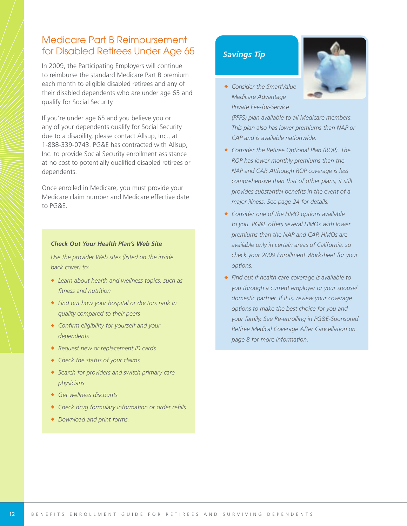### Medicare Part B Reimbursement for Disabled Retirees Under Age 65

In 2009, the Participating Employers will continue to reimburse the standard Medicare Part B premium each month to eligible disabled retirees and any of their disabled dependents who are under age 65 and qualify for Social Security.

If you're under age 65 and you believe you or any of your dependents qualify for Social Security due to a disability, please contact Allsup, Inc., at 1-888-339-0743. PG&E has contracted with Allsup, Inc. to provide Social Security enrollment assistance at no cost to potentially qualified disabled retirees or dependents.

Once enrolled in Medicare, you must provide your Medicare claim number and Medicare effective date to PG&E.

#### *Check Out Your Health Plan's Web Site*

*Use the provider Web sites (listed on the inside back cover) to:*

- ◆ *Learn about health and wellness topics, such as fi tness and nutrition*
- ◆ *Find out how your hospital or doctors rank in quality compared to their peers*
- ◆ *Confirm eligibility for yourself and your dependents*
- ◆ *Request new or replacement ID cards*
- ◆ *Check the status of your claims*
- ◆ *Search for providers and switch primary care physicians*
- ◆ *Get wellness discounts*
- ◆ *Check drug formulary information or order refills*
- ◆ *Download and print forms.*

#### *Savings Tip*

◆ *Consider the SmartValue Medicare Advantage Private Fee-for-Service*

*(PFFS) plan available to all Medicare members. This plan also has lower premiums than NAP or CAP and is available nationwide.*

- ◆ *Consider the Retiree Optional Plan (ROP). The ROP has lower monthly premiums than the NAP and CAP. Although ROP coverage is less comprehensive than that of other plans, it still* provides substantial benefits in the event of a *major illness. See page 24 for details.*
- ◆ *Consider one of the HMO options available to you. PG&E offers several HMOs with lower premiums than the NAP and CAP. HMOs are available only in certain areas of California, so check your 2009 Enrollment Worksheet for your options.*
- ◆ *Find out if health care coverage is available to you through a current employer or your spouse/ domestic partner. If it is, review your coverage options to make the best choice for you and your family. See Re-enrolling in PG&E-Sponsored Retiree Medical Coverage After Cancellation on page 8 for more information.*

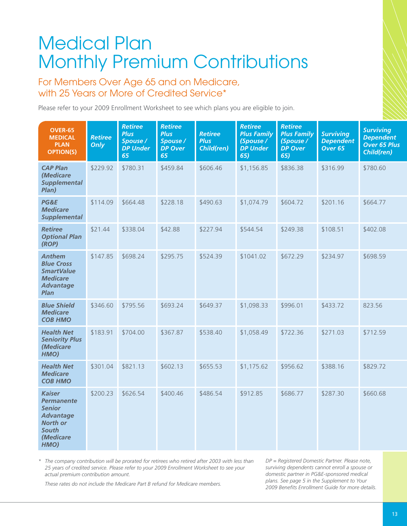# Medical Plan Monthly Premium Contributions

#### For Members Over Age 65 and on Medicare, with 25 Years or More of Credited Service<sup>\*</sup>

Please refer to your 2009 Enrollment Worksheet to see which plans you are eligible to join.

| <b>OVER-65</b><br><b>MEDICAL</b><br><b>PLAN</b><br><b>OPTION(S)</b>                                                             | <b>Retiree</b><br>Only | <b>Retiree</b><br><b>Plus</b><br>Spouse /<br><b>DP Under</b><br>65 | <b>Retiree</b><br><b>Plus</b><br>Spouse /<br><b>DP Over</b><br>65 | <b>Retiree</b><br><b>Plus</b><br>Child(ren) | <b>Retiree</b><br><b>Plus Family</b><br>(Spouse/<br><b>DP Under</b><br>65) | <b>Retiree</b><br><b>Plus Family</b><br>(Spouse /<br><b>DP Over</b><br>65) | <b>Surviving</b><br><b>Dependent</b><br>Over <sub>65</sub> | <b>Surviving</b><br><b>Dependent</b><br><b>Over 65 Plus</b><br><b>Child(ren)</b> |
|---------------------------------------------------------------------------------------------------------------------------------|------------------------|--------------------------------------------------------------------|-------------------------------------------------------------------|---------------------------------------------|----------------------------------------------------------------------------|----------------------------------------------------------------------------|------------------------------------------------------------|----------------------------------------------------------------------------------|
| <b>CAP Plan</b><br>(Medicare<br><b>Supplemental</b><br>Plan)                                                                    | \$229.92               | \$780.31                                                           | \$459.84                                                          | \$606.46                                    | \$1,156.85                                                                 | \$836.38                                                                   | \$316.99                                                   | \$780.60                                                                         |
| PG&E<br><b>Medicare</b><br><b>Supplemental</b>                                                                                  | \$114.09               | \$664.48                                                           | \$228.18                                                          | \$490.63                                    | \$1,074.79                                                                 | \$604.72                                                                   | \$201.16                                                   | \$664.77                                                                         |
| <b>Retiree</b><br><b>Optional Plan</b><br>(ROP)                                                                                 | \$21.44                | \$338.04                                                           | \$42.88                                                           | \$227.94                                    | \$544.54                                                                   | \$249.38                                                                   | \$108.51                                                   | \$402.08                                                                         |
| <b>Anthem</b><br><b>Blue Cross</b><br><b>SmartValue</b><br><b>Medicare</b><br><b>Advantage</b><br>Plan                          | \$147.85               | \$698.24                                                           | \$295.75                                                          | \$524.39                                    | \$1041.02                                                                  | \$672.29                                                                   | \$234.97                                                   | \$698.59                                                                         |
| <b>Blue Shield</b><br><b>Medicare</b><br><b>COB HMO</b>                                                                         | \$346.60               | \$795.56                                                           | \$693.24                                                          | \$649.37                                    | \$1,098.33                                                                 | \$996.01                                                                   | \$433.72                                                   | 823.56                                                                           |
| <b>Health Net</b><br><b>Seniority Plus</b><br>(Medicare<br>HMO)                                                                 | \$183.91               | \$704.00                                                           | \$367.87                                                          | \$538.40                                    | \$1,058.49                                                                 | \$722.36                                                                   | \$271.03                                                   | \$712.59                                                                         |
| <b>Health Net</b><br><b>Medicare</b><br><b>COB HMO</b>                                                                          | \$301.04               | \$821.13                                                           | \$602.13                                                          | \$655.53                                    | \$1,175.62                                                                 | \$956.62                                                                   | \$388.16                                                   | \$829.72                                                                         |
| <b>Kaiser</b><br><b>Permanente</b><br><b>Senior</b><br><b>Advantage</b><br><b>North or</b><br><b>South</b><br>(Medicare<br>HMO) | \$200.23               | \$626.54                                                           | \$400.46                                                          | \$486.54                                    | \$912.85                                                                   | \$686.77                                                                   | \$287.30                                                   | \$660.68                                                                         |

*\* The company contribution will be prorated for retirees who retired after 2003 with less than 25 years of credited service. Please refer to your 2009 Enrollment Worksheet to see your actual premium contribution amount.*

*DP = Registered Domestic Partner. Please note, surviving dependents cannot enroll a spouse or domestic partner in PG&E-sponsored medical plans. See page 5 in the Supplement to Your 2009 Benefi ts Enrollment Guide for more details.*

*These rates do not include the Medicare Part B refund for Medicare members.*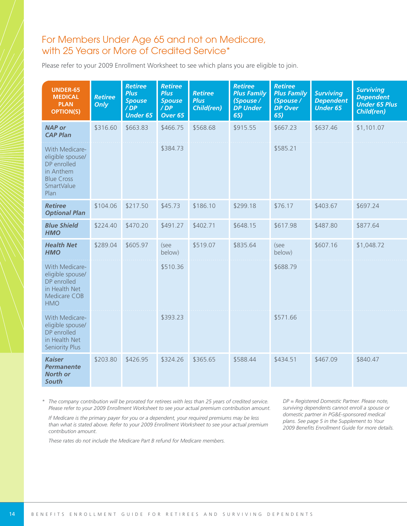#### For Members Under Age 65 and not on Medicare, with 25 Years or More of Credited Service\*

Please refer to your 2009 Enrollment Worksheet to see which plans you are eligible to join.

| <b>UNDER-65</b><br><b>MEDICAL</b><br><b>PLAN</b><br><b>OPTION(S)</b>                                      | <b>Retiree</b><br>Only | <b>Retiree</b><br><b>Plus</b><br><b>Spouse</b><br>/DP<br><b>Under 65</b> | <b>Retiree</b><br><b>Plus</b><br><b>Spouse</b><br>$\overline{D}P$<br>Over 65 | <b>Retiree</b><br><b>Plus</b><br><b>Child(ren)</b> | <b>Retiree</b><br><b>Plus Family</b><br>(Spouse /<br><b>DP Under</b><br>65) | <b>Retiree</b><br><b>Plus Family</b><br>(Spouse /<br><b>DP Over</b><br>65) | <b>Surviving</b><br><b>Dependent</b><br><b>Under 65</b> | <b>Surviving</b><br><b>Dependent</b><br><b>Under 65 Plus</b><br>Child(ren) |
|-----------------------------------------------------------------------------------------------------------|------------------------|--------------------------------------------------------------------------|------------------------------------------------------------------------------|----------------------------------------------------|-----------------------------------------------------------------------------|----------------------------------------------------------------------------|---------------------------------------------------------|----------------------------------------------------------------------------|
| <b>NAP or</b><br><b>CAP Plan</b>                                                                          | \$316.60               | \$663.83                                                                 | \$466.75                                                                     | \$568.68                                           | \$915.55                                                                    | \$667.23                                                                   | \$637.46                                                | \$1,101.07                                                                 |
| With Medicare-<br>eligible spouse/<br>DP enrolled<br>in Anthem<br><b>Blue Cross</b><br>SmartValue<br>Plan |                        |                                                                          | \$384.73                                                                     |                                                    |                                                                             | \$585.21                                                                   |                                                         |                                                                            |
| <b>Retiree</b><br><b>Optional Plan</b>                                                                    | \$104.06               | \$217.50                                                                 | \$45.73                                                                      | \$186.10                                           | \$299.18                                                                    | \$76.17                                                                    | \$403.67                                                | \$697.24                                                                   |
| <b>Blue Shield</b><br><b>HMO</b>                                                                          | \$224.40               | \$470.20                                                                 | \$491.27                                                                     | \$402.71                                           | \$648.15                                                                    | \$617.98                                                                   | \$487.80                                                | \$877.64                                                                   |
| <b>Health Net</b><br><b>HMO</b>                                                                           | \$289.04               | \$605.97                                                                 | (see<br>below)                                                               | \$519.07                                           | \$835.64                                                                    | (see<br>below)                                                             | \$607.16                                                | \$1,048.72                                                                 |
| With Medicare-<br>eligible spouse/<br>DP enrolled<br>in Health Net<br>Medicare COB<br><b>HMO</b>          |                        |                                                                          | \$510.36                                                                     |                                                    |                                                                             | \$688.79                                                                   |                                                         |                                                                            |
| With Medicare-<br>eligible spouse/<br>DP enrolled<br>in Health Net<br>Seniority Plus                      |                        |                                                                          | \$393.23                                                                     |                                                    |                                                                             | \$571.66                                                                   |                                                         |                                                                            |
| <b>Kaiser</b><br><b>Permanente</b><br><b>North or</b><br>South                                            | \$203.80               | \$426.95                                                                 | \$324.26                                                                     | \$365.65                                           | \$588.44                                                                    | \$434.51                                                                   | \$467.09                                                | \$840.47                                                                   |

*\* The company contribution will be prorated for retirees with less than 25 years of credited service. Please refer to your 2009 Enrollment Worksheet to see your actual premium contribution amount.*

*If Medicare is the primary payer for you or a dependent, your required premiums may be less than what is stated above. Refer to your 2009 Enrollment Worksheet to see your actual premium contribution amount.*

*These rates do not include the Medicare Part B refund for Medicare members.*

*DP = Registered Domestic Partner. Please note, surviving dependents cannot enroll a spouse or domestic partner in PG&E-sponsored medical plans. See page 5 in the Supplement to Your* 2009 Benefits Enrollment Guide for more details.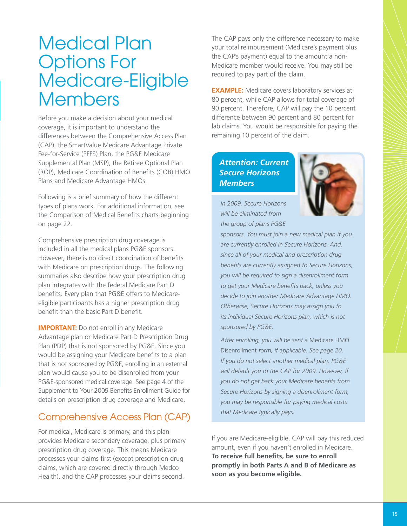## Medical Plan Options For Medicare-Eligible Members

Before you make a decision about your medical coverage, it is important to understand the differences between the Comprehensive Access Plan (CAP), the SmartValue Medicare Advantage Private Fee-for-Service (PFFS) Plan, the PG&E Medicare Supplemental Plan (MSP), the Retiree Optional Plan (ROP), Medicare Coordination of Benefits (COB) HMO Plans and Medicare Advantage HMOs.

Following is a brief summary of how the different types of plans work. For additional information, see the Comparison of Medical Benefits charts beginning on page 22.

Comprehensive prescription drug coverage is included in all the medical plans PG&E sponsors. However, there is no direct coordination of benefits with Medicare on prescription drugs. The following summaries also describe how your prescription drug plan integrates with the federal Medicare Part D benefits. Every plan that PG&E offers to Medicareeligible participants has a higher prescription drug benefit than the basic Part D benefit.

**IMPORTANT:** Do not enroll in any Medicare Advantage plan or Medicare Part D Prescription Drug Plan (PDP) that is not sponsored by PG&E. Since you would be assigning your Medicare benefits to a plan that is not sponsored by PG&E, enrolling in an external plan would cause you to be disenrolled from your PG&E-sponsored medical coverage. See page 4 of the Supplement to Your 2009 Benefits Enrollment Guide for details on prescription drug coverage and Medicare.

### Comprehensive Access Plan (CAP)

For medical, Medicare is primary, and this plan provides Medicare secondary coverage, plus primary prescription drug coverage. This means Medicare processes your claims first (except prescription drug claims, which are covered directly through Medco Health), and the CAP processes your claims second.

The CAP pays only the difference necessary to make your total reimbursement (Medicare's payment plus the CAP's payment) equal to the amount a non-Medicare member would receive. You may still be required to pay part of the claim.

**EXAMPLE:** Medicare covers laboratory services at 80 percent, while CAP allows for total coverage of 90 percent. Therefore, CAP will pay the 10 percent difference between 90 percent and 80 percent for lab claims. You would be responsible for paying the remaining 10 percent of the claim.

#### *Attention: Current Secure Horizons Members*



*In 2009, Secure Horizons will be eliminated from the group of plans PG&E*

*sponsors. You must join a new medical plan if you are currently enrolled in Secure Horizons. And, since all of your medical and prescription drug* benefits are currently assigned to Secure Horizons, *you will be required to sign a disenrollment form* to get your Medicare benefits back, unless you *decide to join another Medicare Advantage HMO. Otherwise, Secure Horizons may assign you to its individual Secure Horizons plan, which is not sponsored by PG&E.*

*After enrolling, you will be sent a* Medicare HMO Disenrollment *form, if applicable. See page 20. If you do not select another medical plan, PG&E will default you to the CAP for 2009. However, if* you do not get back your Medicare benefits from *Secure Horizons by signing a disenrollment form, you may be responsible for paying medical costs that Medicare typically pays.*

If you are Medicare-eligible, CAP will pay this reduced amount, even if you haven't enrolled in Medicare. To receive full benefits, be sure to enroll **promptly in both Parts A and B of Medicare as soon as you become eligible.**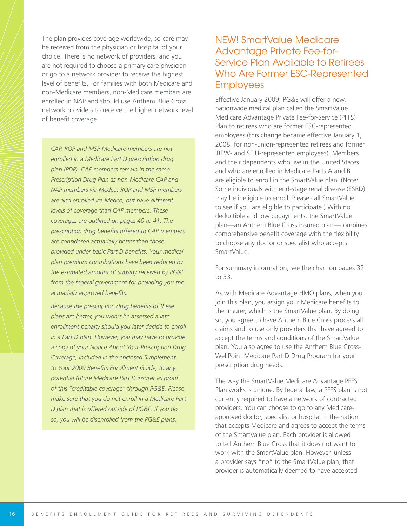The plan provides coverage worldwide, so care may be received from the physician or hospital of your choice. There is no network of providers, and you are not required to choose a primary care physician or go to a network provider to receive the highest level of benefits. For families with both Medicare and non-Medicare members, non-Medicare members are enrolled in NAP and should use Anthem Blue Cross network providers to receive the higher network level of benefit coverage.

*CAP, ROP and MSP Medicare members are not enrolled in a Medicare Part D prescription drug plan (PDP). CAP members remain in the same Prescription Drug Plan as non-Medicare CAP and NAP members via Medco. ROP and MSP members are also enrolled via Medco, but have different levels of coverage than CAP members. These coverages are outlined on pages 40 to 41. The prescription drug benefits offered to CAP members are considered actuarially better than those provided under basic Part D benefi ts. Your medical plan premium contributions have been reduced by the estimated amount of subsidy received by PG&E from the federal government for providing you the* actuarially approved benefits.

**Because the prescription drug benefits of these** *plans are better, you won't be assessed a late enrollment penalty should you later decide to enroll in a Part D plan. However, you may have to provide a copy of your Notice About Your Prescription Drug Coverage, included in the enclosed Supplement* to Your 2009 Benefits Enrollment Guide, to any *potential future Medicare Part D insurer as proof of this "creditable coverage" through PG&E. Please make sure that you do not enroll in a Medicare Part D plan that is offered outside of PG&E. If you do so, you will be disenrolled from the PG&E plans.*

#### NEW! SmartValue Medicare Advantage Private Fee-for-Service Plan Available to Retirees Who Are Former ESC-Represented **Employees**

Effective January 2009, PG&E will offer a new, nationwide medical plan called the SmartValue Medicare Advantage Private Fee-for-Service (PFFS) Plan to retirees who are former ESC-represented employees (this change became effective January 1, 2008, for non-union-represented retirees and former IBEW- and SEIU-represented employees). Members and their dependents who live in the United States and who are enrolled in Medicare Parts A and B are eligible to enroll in the SmartValue plan. (Note: Some individuals with end-stage renal disease (ESRD) may be ineligible to enroll. Please call SmartValue to see if you are eligible to participate.) With no deductible and low copayments, the SmartValue plan—an Anthem Blue Cross insured plan—combines comprehensive benefit coverage with the flexibility to choose any doctor or specialist who accepts SmartValue.

For summary information, see the chart on pages 32 to 33.

As with Medicare Advantage HMO plans, when you join this plan, you assign your Medicare benefits to the insurer, which is the SmartValue plan. By doing so, you agree to have Anthem Blue Cross process all claims and to use only providers that have agreed to accept the terms and conditions of the SmartValue plan. You also agree to use the Anthem Blue Cross-WellPoint Medicare Part D Drug Program for your prescription drug needs.

The way the SmartValue Medicare Advantage PFFS Plan works is unique. By federal law, a PFFS plan is not currently required to have a network of contracted providers. You can choose to go to any Medicareapproved doctor, specialist or hospital in the nation that accepts Medicare and agrees to accept the terms of the SmartValue plan. Each provider is allowed to tell Anthem Blue Cross that it does not want to work with the SmartValue plan. However, unless a provider says "no" to the SmartValue plan, that provider is automatically deemed to have accepted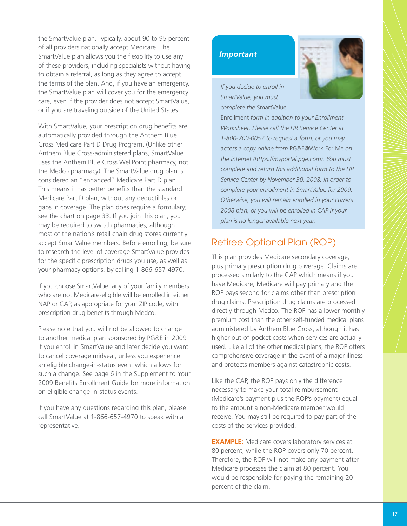the SmartValue plan. Typically, about 90 to 95 percent of all providers nationally accept Medicare. The SmartValue plan allows you the flexibility to use any of these providers, including specialists without having to obtain a referral, as long as they agree to accept the terms of the plan. And, if you have an emergency, the SmartValue plan will cover you for the emergency care, even if the provider does not accept SmartValue, or if you are traveling outside of the United States.

With SmartValue, your prescription drug benefits are automatically provided through the Anthem Blue Cross Medicare Part D Drug Program. (Unlike other Anthem Blue Cross-administered plans, SmartValue uses the Anthem Blue Cross WellPoint pharmacy, not the Medco pharmacy). The SmartValue drug plan is considered an "enhanced" Medicare Part D plan. This means it has better benefits than the standard Medicare Part D plan, without any deductibles or gaps in coverage. The plan does require a formulary; see the chart on page 33. If you join this plan, you may be required to switch pharmacies, although most of the nation's retail chain drug stores currently accept SmartValue members. Before enrolling, be sure to research the level of coverage SmartValue provides for the specific prescription drugs you use, as well as your pharmacy options, by calling 1-866-657-4970.

If you choose SmartValue, any of your family members who are not Medicare-eligible will be enrolled in either NAP or CAP, as appropriate for your ZIP code, with prescription drug benefits through Medco.

Please note that you will not be allowed to change to another medical plan sponsored by PG&E in 2009 if you enroll in SmartValue and later decide you want to cancel coverage midyear, unless you experience an eligible change-in-status event which allows for such a change. See page 6 in the Supplement to Your 2009 Benefits Enrollment Guide for more information on eligible change-in-status events.

If you have any questions regarding this plan, please call SmartValue at 1-866-657-4970 to speak with a representative.

#### *Important*



*If you decide to enroll in SmartValue, you must complete the* SmartValue

Enrollment *form in addition to your Enrollment Worksheet. Please call the HR Service Center at 1-800-700-0057 to request a form, or you may access a copy online from* PG&E@Work For Me *on the Internet (https://myportal.pge.com). You must complete and return this additional form to the HR Service Center by November 30, 2008, in order to complete your enrollment in SmartValue for 2009. Otherwise, you will remain enrolled in your current 2008 plan, or you will be enrolled in CAP if your plan is no longer available next year.*

#### Retiree Optional Plan (ROP)

This plan provides Medicare secondary coverage, plus primary prescription drug coverage. Claims are processed similarly to the CAP which means if you have Medicare, Medicare will pay primary and the ROP pays second for claims other than prescription drug claims. Prescription drug claims are processed directly through Medco. The ROP has a lower monthly premium cost than the other self-funded medical plans administered by Anthem Blue Cross, although it has higher out-of-pocket costs when services are actually used. Like all of the other medical plans, the ROP offers comprehensive coverage in the event of a major illness and protects members against catastrophic costs.

Like the CAP, the ROP pays only the difference necessary to make your total reimbursement (Medicare's payment plus the ROP's payment) equal to the amount a non-Medicare member would receive. You may still be required to pay part of the costs of the services provided.

**EXAMPLE:** Medicare covers laboratory services at 80 percent, while the ROP covers only 70 percent. Therefore, the ROP will not make any payment after Medicare processes the claim at 80 percent. You would be responsible for paying the remaining 20 percent of the claim.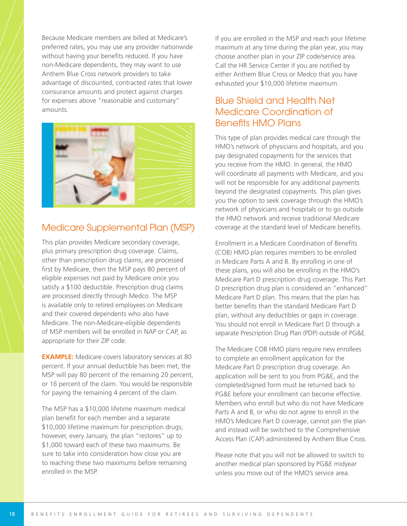Because Medicare members are billed at Medicare's preferred rates, you may use any provider nationwide without having your benefits reduced. If you have non-Medicare dependents, they may want to use Anthem Blue Cross network providers to take advantage of discounted, contracted rates that lower coinsurance amounts and protect against charges for expenses above "reasonable and customary" amounts.



#### Medicare Supplemental Plan (MSP)

This plan provides Medicare secondary coverage, plus primary prescription drug coverage. Claims, other than prescription drug claims, are processed first by Medicare, then the MSP pays 80 percent of eligible expenses not paid by Medicare once you satisfy a \$100 deductible. Prescription drug claims are processed directly through Medco. The MSP is available only to retired employees on Medicare and their covered dependents who also have Medicare. The non-Medicare-eligible dependents of MSP members will be enrolled in NAP or CAP, as appropriate for their ZIP code.

**EXAMPLE:** Medicare covers laboratory services at 80 percent. If your annual deductible has been met, the MSP will pay 80 percent of the remaining 20 percent, or 16 percent of the claim. You would be responsible for paying the remaining 4 percent of the claim.

The MSP has a \$10,000 lifetime maximum medical plan benefit for each member and a separate \$10,000 lifetime maximum for prescription drugs; however, every January, the plan "restores" up to \$1,000 toward each of these two maximums. Be sure to take into consideration how close you are to reaching these two maximums before remaining enrolled in the MSP.

If you are enrolled in the MSP and reach your lifetime maximum at any time during the plan year, you may choose another plan in your ZIP code/service area. Call the HR Service Center if you are notified by either Anthem Blue Cross or Medco that you have exhausted your \$10,000 lifetime maximum.

### Blue Shield and Health Net Medicare Coordination of **Benefits HMO Plans**

This type of plan provides medical care through the HMO's network of physicians and hospitals, and you pay designated copayments for the services that you receive from the HMO. In general, the HMO will coordinate all payments with Medicare, and you will not be responsible for any additional payments beyond the designated copayments. This plan gives you the option to seek coverage through the HMO's network of physicians and hospitals or to go outside the HMO network and receive traditional Medicare coverage at the standard level of Medicare benefits.

Enrollment in a Medicare Coordination of Benefits (COB) HMO plan requires members to be enrolled in Medicare Parts A and B. By enrolling in one of these plans, you will also be enrolling in the HMO's Medicare Part D prescription drug coverage. This Part D prescription drug plan is considered an "enhanced" Medicare Part D plan. This means that the plan has better benefits than the standard Medicare Part D plan, without any deductibles or gaps in coverage. You should not enroll in Medicare Part D through a separate Prescription Drug Plan (PDP) outside of PG&E.

The Medicare COB HMO plans require new enrollees to complete an enrollment application for the Medicare Part D prescription drug coverage. An application will be sent to you from PG&E, and the completed/signed form must be returned back to PG&E before your enrollment can become effective. Members who enroll but who do not have Medicare Parts A and B, or who do not agree to enroll in the HMO's Medicare Part D coverage, cannot join the plan and instead will be switched to the Comprehensive Access Plan (CAP) administered by Anthem Blue Cross.

Please note that you will not be allowed to switch to another medical plan sponsored by PG&E midyear unless you move out of the HMO's service area.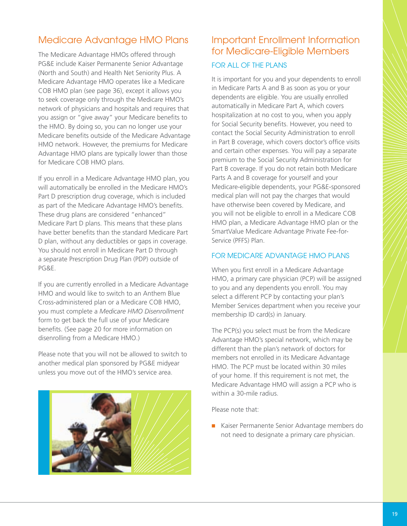### Medicare Advantage HMO Plans

The Medicare Advantage HMOs offered through PG&E include Kaiser Permanente Senior Advantage (North and South) and Health Net Seniority Plus. A Medicare Advantage HMO operates like a Medicare COB HMO plan (see page 36), except it allows you to seek coverage only through the Medicare HMO's network of physicians and hospitals and requires that you assign or "give away" your Medicare benefits to the HMO. By doing so, you can no longer use your Medicare benefits outside of the Medicare Advantage HMO network. However, the premiums for Medicare Advantage HMO plans are typically lower than those for Medicare COB HMO plans.

If you enroll in a Medicare Advantage HMO plan, you will automatically be enrolled in the Medicare HMO's Part D prescription drug coverage, which is included as part of the Medicare Advantage HMO's benefits. These drug plans are considered "enhanced" Medicare Part D plans. This means that these plans have better benefits than the standard Medicare Part D plan, without any deductibles or gaps in coverage. You should not enroll in Medicare Part D through a separate Prescription Drug Plan (PDP) outside of PG&E.

If you are currently enrolled in a Medicare Advantage HMO and would like to switch to an Anthem Blue Cross-administered plan or a Medicare COB HMO, you must complete a *Medicare HMO Disenrollment* form to get back the full use of your Medicare benefits. (See page 20 for more information on disenrolling from a Medicare HMO.)

Please note that you will not be allowed to switch to another medical plan sponsored by PG&E midyear unless you move out of the HMO's service area.



### Important Enrollment Information for Medicare-Eligible Members FOR ALL OF THE PLANS

It is important for you and your dependents to enroll in Medicare Parts A and B as soon as you or your dependents are eligible. You are usually enrolled automatically in Medicare Part A, which covers hospitalization at no cost to you, when you apply for Social Security benefits. However, you need to contact the Social Security Administration to enroll in Part B coverage, which covers doctor's office visits and certain other expenses. You will pay a separate premium to the Social Security Administration for Part B coverage. If you do not retain both Medicare Parts A and B coverage for yourself and your Medicare-eligible dependents, your PG&E-sponsored medical plan will not pay the charges that would have otherwise been covered by Medicare, and you will not be eligible to enroll in a Medicare COB HMO plan, a Medicare Advantage HMO plan or the SmartValue Medicare Advantage Private Fee-for-Service (PFFS) Plan.

#### FOR MEDICARE ADVANTAGE HMO PLANS

When you first enroll in a Medicare Advantage HMO, a primary care physician (PCP) will be assigned to you and any dependents you enroll. You may select a different PCP by contacting your plan's Member Services department when you receive your membership ID card(s) in January.

The PCP(s) you select must be from the Medicare Advantage HMO's special network, which may be different than the plan's network of doctors for members not enrolled in its Medicare Advantage HMO. The PCP must be located within 30 miles of your home. If this requirement is not met, the Medicare Advantage HMO will assign a PCP who is within a 30-mile radius.

Please note that:

■ Kaiser Permanente Senior Advantage members do not need to designate a primary care physician.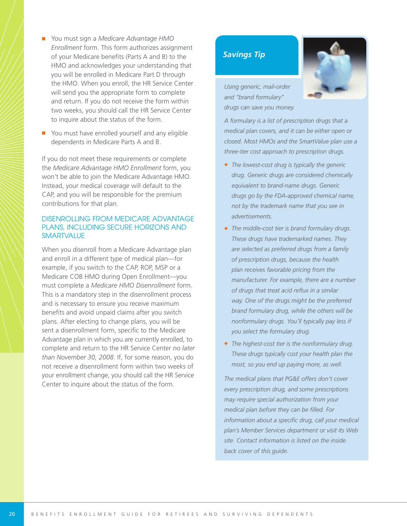- You must sign a *Medicare Advantage HMO Enrollment* form. This form authorizes assignment of your Medicare benefits (Parts A and B) to the HMO and acknowledges your understanding that you will be enrolled in Medicare Part D through the HMO. When you enroll, the HR Service Center will send you the appropriate form to complete and return. If you do not receive the form within two weeks, you should call the HR Service Center to inquire about the status of the form.
- You must have enrolled yourself and any eligible dependents in Medicare Parts A and B.

If you do not meet these requirements or complete the *Medicare Advantage HMO Enrollment* form, you won't be able to join the Medicare Advantage HMO. Instead, your medical coverage will default to the CAP, and you will be responsible for the premium contributions for that plan.

#### DISENROLLING FROM MEDICARE ADVANTAGE PLANS, INCLUDING SECURE HORIZONS AND **SMARTVALUE**

When you disenroll from a Medicare Advantage plan and enroll in a different type of medical plan—for example, if you switch to the CAP, ROP, MSP or a Medicare COB HMO during Open Enrollment—you must complete a *Medicare HMO Disenrollment* form. This is a mandatory step in the disenrollment process and is necessary to ensure you receive maximum benefits and avoid unpaid claims after you switch plans. After electing to change plans, you will be sent a disenrollment form, specific to the Medicare Advantage plan in which you are currently enrolled, to complete and return to the HR Service Center *no later than November 30, 2008*. If, for some reason, you do not receive a disenrollment form within two weeks of your enrollment change, you should call the HR Service Center to inquire about the status of the form.

#### *Savings Tip*



*A formulary is a list of prescription drugs that a medical plan covers, and it can be either open or closed. Most HMOs and the SmartValue plan use a three-tier cost approach to prescription drugs.*

- ◆ *The lowest-cost drug is typically the generic drug. Generic drugs are considered chemically equivalent to brand-name drugs. Generic drugs go by the FDA-approved chemical name, not by the trademark name that you see in advertisements.*
- ◆ *The middle-cost tier is brand formulary drugs. These drugs have trademarked names. They are selected as preferred drugs from a family of prescription drugs, because the health plan receives favorable pricing from the manufacturer. For example, there are a number of drugs that treat acid refl ux in a similar way. One of the drugs might be the preferred brand formulary drug, while the others will be nonformulary drugs. You'll typically pay less if you select the formulary drug.*
- ◆ *The highest-cost tier is the nonformulary drug. These drugs typically cost your health plan the most, so you end up paying more, as well.*

*The medical plans that PG&E offers don't cover every prescription drug, and some prescriptions may require special authorization from your* medical plan before they can be filled. For *information about a specific drug, call your medical plan's Member Services department or visit its Web site. Contact information is listed on the inside back cover of this guide.*

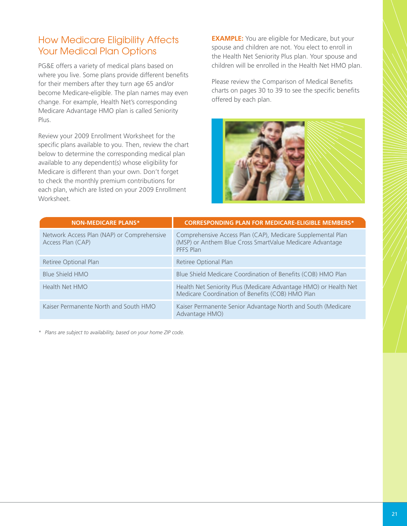### How Medicare Eligibility Affects Your Medical Plan Options

PG&E offers a variety of medical plans based on where you live. Some plans provide different benefits for their members after they turn age 65 and/or become Medicare-eligible. The plan names may even change. For example, Health Net's corresponding Medicare Advantage HMO plan is called Seniority Plus.

Review your 2009 Enrollment Worksheet for the specific plans available to you. Then, review the chart below to determine the corresponding medical plan available to any dependent(s) whose eligibility for Medicare is different than your own. Don't forget to check the monthly premium contributions for each plan, which are listed on your 2009 Enrollment Worksheet.

**EXAMPLE:** You are eligible for Medicare, but your spouse and children are not. You elect to enroll in the Health Net Seniority Plus plan. Your spouse and children will be enrolled in the Health Net HMO plan.

Please review the Comparison of Medical Benefits charts on pages 30 to 39 to see the specific benefits offered by each plan.



| <b>NON-MEDICARE PLANS*</b>                                      | <b>CORRESPONDING PLAN FOR MEDICARE-ELIGIBLE MEMBERS*</b>                                                                             |
|-----------------------------------------------------------------|--------------------------------------------------------------------------------------------------------------------------------------|
| Network Access Plan (NAP) or Comprehensive<br>Access Plan (CAP) | Comprehensive Access Plan (CAP), Medicare Supplemental Plan<br>(MSP) or Anthem Blue Cross SmartValue Medicare Advantage<br>PFFS Plan |
| Retiree Optional Plan                                           | Retiree Optional Plan                                                                                                                |
| Blue Shield HMO                                                 | Blue Shield Medicare Coordination of Benefits (COB) HMO Plan                                                                         |
| Health Net HMO                                                  | Health Net Seniority Plus (Medicare Advantage HMO) or Health Net<br>Medicare Coordination of Benefits (COB) HMO Plan                 |
| Kaiser Permanente North and South HMO                           | Kaiser Permanente Senior Advantage North and South (Medicare<br>Advantage HMO)                                                       |

*\* Plans are subject to availability, based on your home ZIP code.*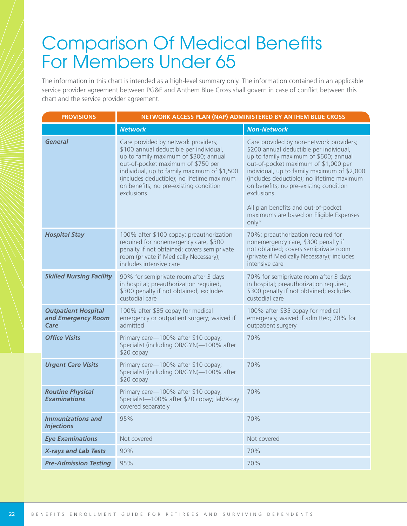# **Comparison Of Medical Benefits** For Members Under 65

The information in this chart is intended as a high-level summary only. The information contained in an applicable service provider agreement between PG&E and Anthem Blue Cross shall govern in case of conflict between this chart and the service provider agreement.

| <b>PROVISIONS</b>                                        | NETWORK ACCESS PLAN (NAP) ADMINISTERED BY ANTHEM BLUE CROSS                                                                                                                                                                                                                                                        |                                                                                                                                                                                                                                                                                                                           |  |  |  |  |
|----------------------------------------------------------|--------------------------------------------------------------------------------------------------------------------------------------------------------------------------------------------------------------------------------------------------------------------------------------------------------------------|---------------------------------------------------------------------------------------------------------------------------------------------------------------------------------------------------------------------------------------------------------------------------------------------------------------------------|--|--|--|--|
|                                                          | <b>Network</b>                                                                                                                                                                                                                                                                                                     | <b>Non-Network</b>                                                                                                                                                                                                                                                                                                        |  |  |  |  |
| <b>General</b>                                           | Care provided by network providers;<br>\$100 annual deductible per individual,<br>up to family maximum of \$300; annual<br>out-of-pocket maximum of \$750 per<br>individual, up to family maximum of \$1,500<br>(includes deductible); no lifetime maximum<br>on benefits; no pre-existing condition<br>exclusions | Care provided by non-network providers;<br>\$200 annual deductible per individual,<br>up to family maximum of \$600; annual<br>out-of-pocket maximum of \$1,000 per<br>individual, up to family maximum of \$2,000<br>(includes deductible); no lifetime maximum<br>on benefits; no pre-existing condition<br>exclusions. |  |  |  |  |
|                                                          |                                                                                                                                                                                                                                                                                                                    | All plan benefits and out-of-pocket<br>maximums are based on Eligible Expenses<br>only*                                                                                                                                                                                                                                   |  |  |  |  |
| <b>Hospital Stay</b>                                     | 100% after \$100 copay; preauthorization<br>required for nonemergency care, \$300<br>penalty if not obtained; covers semiprivate<br>room (private if Medically Necessary);<br>includes intensive care                                                                                                              | 70%; preauthorization required for<br>nonemergency care, \$300 penalty if<br>not obtained; covers semiprivate room<br>(private if Medically Necessary); includes<br>intensive care                                                                                                                                        |  |  |  |  |
| <b>Skilled Nursing Facility</b>                          | 90% for semiprivate room after 3 days<br>in hospital; preauthorization required,<br>\$300 penalty if not obtained; excludes<br>custodial care                                                                                                                                                                      | 70% for semiprivate room after 3 days<br>in hospital; preauthorization required,<br>\$300 penalty if not obtained; excludes<br>custodial care                                                                                                                                                                             |  |  |  |  |
| <b>Outpatient Hospital</b><br>and Emergency Room<br>Care | 100% after \$35 copay for medical<br>emergency or outpatient surgery; waived if<br>admitted                                                                                                                                                                                                                        | 100% after \$35 copay for medical<br>emergency, waived if admitted; 70% for<br>outpatient surgery                                                                                                                                                                                                                         |  |  |  |  |
| <b>Office Visits</b>                                     | Primary care-100% after \$10 copay;<br>Specialist (including OB/GYN)-100% after<br>\$20 copay                                                                                                                                                                                                                      | 70%                                                                                                                                                                                                                                                                                                                       |  |  |  |  |
| <b>Urgent Care Visits</b>                                | Primary care-100% after \$10 copay;<br>Specialist (including OB/GYN)-100% after<br>\$20 copay                                                                                                                                                                                                                      | 70%                                                                                                                                                                                                                                                                                                                       |  |  |  |  |
| <b>Routine Physical</b><br><b>Examinations</b>           | Primary care-100% after \$10 copay;<br>Specialist-100% after \$20 copay; lab/X-ray<br>covered separately                                                                                                                                                                                                           | 70%                                                                                                                                                                                                                                                                                                                       |  |  |  |  |
| <b>Immunizations and</b><br><b>Injections</b>            | 95%                                                                                                                                                                                                                                                                                                                | 70%                                                                                                                                                                                                                                                                                                                       |  |  |  |  |
| <b>Eye Examinations</b>                                  | Not covered                                                                                                                                                                                                                                                                                                        | Not covered                                                                                                                                                                                                                                                                                                               |  |  |  |  |
| <b>X-rays and Lab Tests</b>                              | 90%                                                                                                                                                                                                                                                                                                                | 70%                                                                                                                                                                                                                                                                                                                       |  |  |  |  |
| <b>Pre-Admission Testing</b>                             | 95%                                                                                                                                                                                                                                                                                                                | 70%                                                                                                                                                                                                                                                                                                                       |  |  |  |  |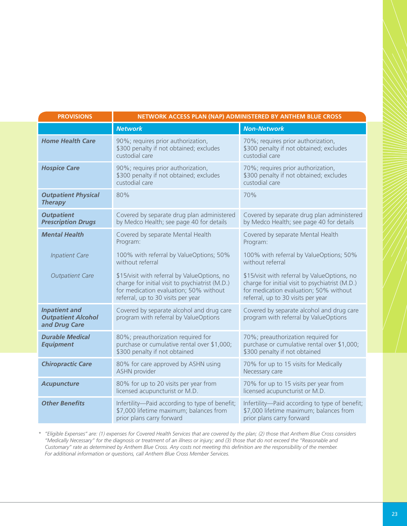| <b>PROVISIONS</b>                                                  | NETWORK ACCESS PLAN (NAP) ADMINISTERED BY ANTHEM BLUE CROSS                                                                                                                     |                                                                                                                                                                                 |
|--------------------------------------------------------------------|---------------------------------------------------------------------------------------------------------------------------------------------------------------------------------|---------------------------------------------------------------------------------------------------------------------------------------------------------------------------------|
|                                                                    | <b>Network</b>                                                                                                                                                                  | <b>Non-Network</b>                                                                                                                                                              |
| <b>Home Health Care</b>                                            | 90%; requires prior authorization,<br>\$300 penalty if not obtained; excludes<br>custodial care                                                                                 | 70%; requires prior authorization,<br>\$300 penalty if not obtained; excludes<br>custodial care                                                                                 |
| <b>Hospice Care</b>                                                | 90%; requires prior authorization,<br>\$300 penalty if not obtained; excludes<br>custodial care                                                                                 | 70%; requires prior authorization,<br>\$300 penalty if not obtained; excludes<br>custodial care                                                                                 |
| <b>Outpatient Physical</b><br><b>Therapy</b>                       | 80%                                                                                                                                                                             | 70%                                                                                                                                                                             |
| <b>Outpatient</b><br><b>Prescription Drugs</b>                     | Covered by separate drug plan administered<br>by Medco Health; see page 40 for details                                                                                          | Covered by separate drug plan administered<br>by Medco Health; see page 40 for details                                                                                          |
| <b>Mental Health</b>                                               | Covered by separate Mental Health<br>Program:                                                                                                                                   | Covered by separate Mental Health<br>Program:                                                                                                                                   |
| <b>Inpatient Care</b>                                              | 100% with referral by ValueOptions; 50%<br>without referral                                                                                                                     | 100% with referral by ValueOptions; 50%<br>without referral                                                                                                                     |
| <b>Outpatient Care</b>                                             | \$15/visit with referral by ValueOptions, no<br>charge for initial visit to psychiatrist (M.D.)<br>for medication evaluation; 50% without<br>referral, up to 30 visits per year | \$15/visit with referral by ValueOptions, no<br>charge for initial visit to psychiatrist (M.D.)<br>for medication evaluation; 50% without<br>referral, up to 30 visits per year |
| <b>Inpatient and</b><br><b>Outpatient Alcohol</b><br>and Drug Care | Covered by separate alcohol and drug care<br>program with referral by ValueOptions                                                                                              | Covered by separate alcohol and drug care<br>program with referral by ValueOptions                                                                                              |
| <b>Durable Medical</b><br><b>Equipment</b>                         | 80%; preauthorization required for<br>purchase or cumulative rental over \$1,000;<br>\$300 penalty if not obtained                                                              | 70%; preauthorization required for<br>purchase or cumulative rental over \$1,000;<br>\$300 penalty if not obtained                                                              |
| <b>Chiropractic Care</b>                                           | 80% for care approved by ASHN using<br><b>ASHN</b> provider                                                                                                                     | 70% for up to 15 visits for Medically<br>Necessary care                                                                                                                         |
| <b>Acupuncture</b>                                                 | 80% for up to 20 visits per year from<br>licensed acupuncturist or M.D.                                                                                                         | 70% for up to 15 visits per year from<br>licensed acupuncturist or M.D.                                                                                                         |
| <b>Other Benefits</b>                                              | Infertility-Paid according to type of benefit;<br>\$7,000 lifetime maximum; balances from<br>prior plans carry forward                                                          | Infertility-Paid according to type of benefit;<br>\$7,000 lifetime maximum; balances from<br>prior plans carry forward                                                          |

*\* "Eligible Expenses" are: (1) expenses for Covered Health Services that are covered by the plan; (2) those that Anthem Blue Cross considers "Medically Necessary" for the diagnosis or treatment of an illness or injury; and (3) those that do not exceed the "Reasonable and* Customary" rate as determined by Anthem Blue Cross. Any costs not meeting this definition are the responsibility of the member. *For additional information or questions, call Anthem Blue Cross Member Services.*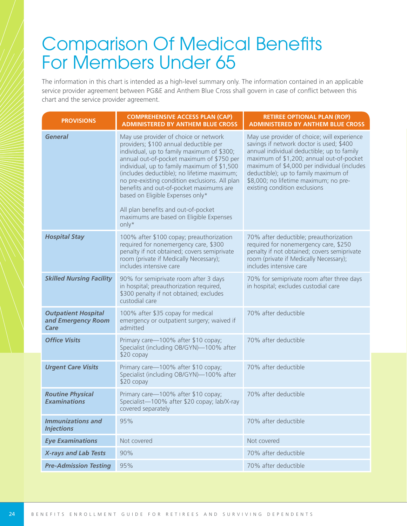# **Comparison Of Medical Benefits** For Members Under 65

The information in this chart is intended as a high-level summary only. The information contained in an applicable service provider agreement between PG&E and Anthem Blue Cross shall govern in case of conflict between this chart and the service provider agreement.

| <b>PROVISIONS</b>                                        | <b>COMPREHENSIVE ACCESS PLAN (CAP)</b><br><b>ADMINISTERED BY ANTHEM BLUE CROSS</b>                                                                                                                                                                                                                                                                                                                                                                                                                     | <b>RETIREE OPTIONAL PLAN (ROP)</b><br><b>ADMINISTERED BY ANTHEM BLUE CROSS</b>                                                                                                                                                                                                                                                                     |
|----------------------------------------------------------|--------------------------------------------------------------------------------------------------------------------------------------------------------------------------------------------------------------------------------------------------------------------------------------------------------------------------------------------------------------------------------------------------------------------------------------------------------------------------------------------------------|----------------------------------------------------------------------------------------------------------------------------------------------------------------------------------------------------------------------------------------------------------------------------------------------------------------------------------------------------|
| <b>General</b>                                           | May use provider of choice or network<br>providers; \$100 annual deductible per<br>individual, up to family maximum of \$300;<br>annual out-of-pocket maximum of \$750 per<br>individual, up to family maximum of \$1,500<br>(includes deductible); no lifetime maximum;<br>no pre-existing condition exclusions. All plan<br>benefits and out-of-pocket maximums are<br>based on Eligible Expenses only*<br>All plan benefits and out-of-pocket<br>maximums are based on Eligible Expenses<br>$only*$ | May use provider of choice; will experience<br>savings if network doctor is used; \$400<br>annual individual deductible; up to family<br>maximum of \$1,200; annual out-of-pocket<br>maximum of \$4,000 per individual (includes<br>deductible); up to family maximum of<br>\$8,000; no lifetime maximum; no pre-<br>existing condition exclusions |
| <b>Hospital Stay</b>                                     | 100% after \$100 copay; preauthorization<br>required for nonemergency care, \$300<br>penalty if not obtained; covers semiprivate<br>room (private if Medically Necessary);<br>includes intensive care                                                                                                                                                                                                                                                                                                  | 70% after deductible; preauthorization<br>required for nonemergency care, \$250<br>penalty if not obtained; covers semiprivate<br>room (private if Medically Necessary);<br>includes intensive care                                                                                                                                                |
| <b>Skilled Nursing Facility</b>                          | 90% for semiprivate room after 3 days<br>in hospital; preauthorization required,<br>\$300 penalty if not obtained; excludes<br>custodial care                                                                                                                                                                                                                                                                                                                                                          | 70% for semiprivate room after three days<br>in hospital; excludes custodial care                                                                                                                                                                                                                                                                  |
| <b>Outpatient Hospital</b><br>and Emergency Room<br>Care | 100% after \$35 copay for medical<br>emergency or outpatient surgery; waived if<br>admitted                                                                                                                                                                                                                                                                                                                                                                                                            | 70% after deductible                                                                                                                                                                                                                                                                                                                               |
| <b>Office Visits</b>                                     | Primary care-100% after \$10 copay;<br>Specialist (including OB/GYN)-100% after<br>$$20$ copay                                                                                                                                                                                                                                                                                                                                                                                                         | 70% after deductible                                                                                                                                                                                                                                                                                                                               |
| <b>Urgent Care Visits</b>                                | Primary care-100% after \$10 copay;<br>Specialist (including OB/GYN)-100% after<br>\$20 copay                                                                                                                                                                                                                                                                                                                                                                                                          | 70% after deductible                                                                                                                                                                                                                                                                                                                               |
| <b>Routine Physical</b><br><b>Examinations</b>           | Primary care-100% after \$10 copay;<br>Specialist-100% after \$20 copay; lab/X-ray<br>covered separately                                                                                                                                                                                                                                                                                                                                                                                               | 70% after deductible                                                                                                                                                                                                                                                                                                                               |
| <b>Immunizations and</b><br><b>Injections</b>            | 95%                                                                                                                                                                                                                                                                                                                                                                                                                                                                                                    | 70% after deductible                                                                                                                                                                                                                                                                                                                               |
| <b>Eye Examinations</b>                                  | Not covered                                                                                                                                                                                                                                                                                                                                                                                                                                                                                            | Not covered                                                                                                                                                                                                                                                                                                                                        |
| <b>X-rays and Lab Tests</b>                              | 90%                                                                                                                                                                                                                                                                                                                                                                                                                                                                                                    | 70% after deductible                                                                                                                                                                                                                                                                                                                               |
| <b>Pre-Admission Testing</b>                             | 95%                                                                                                                                                                                                                                                                                                                                                                                                                                                                                                    | 70% after deductible                                                                                                                                                                                                                                                                                                                               |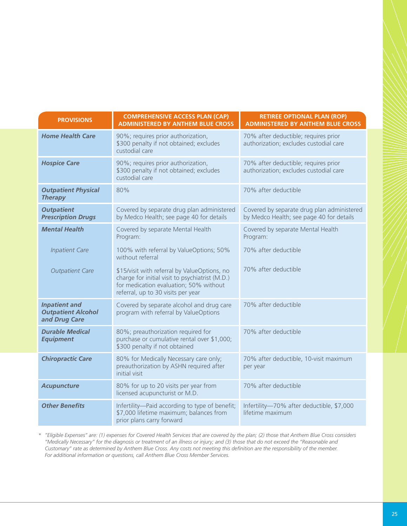| <b>PROVISIONS</b>                                                  | <b>COMPREHENSIVE ACCESS PLAN (CAP)</b><br><b>ADMINISTERED BY ANTHEM BLUE CROSS</b>                                                                                              | <b>RETIREE OPTIONAL PLAN (ROP)</b><br><b>ADMINISTERED BY ANTHEM BLUE CROSS</b>         |
|--------------------------------------------------------------------|---------------------------------------------------------------------------------------------------------------------------------------------------------------------------------|----------------------------------------------------------------------------------------|
| <b>Home Health Care</b>                                            | 90%; requires prior authorization,<br>\$300 penalty if not obtained; excludes<br>custodial care                                                                                 | 70% after deductible; requires prior<br>authorization; excludes custodial care         |
| <b>Hospice Care</b>                                                | 90%; requires prior authorization,<br>\$300 penalty if not obtained; excludes<br>custodial care                                                                                 | 70% after deductible; requires prior<br>authorization; excludes custodial care         |
| <b>Outpatient Physical</b><br><b>Therapy</b>                       | 80%                                                                                                                                                                             | 70% after deductible                                                                   |
| <b>Outpatient</b><br><b>Prescription Drugs</b>                     | Covered by separate drug plan administered<br>by Medco Health; see page 40 for details                                                                                          | Covered by separate drug plan administered<br>by Medco Health; see page 40 for details |
| <b>Mental Health</b>                                               | Covered by separate Mental Health<br>Program:                                                                                                                                   | Covered by separate Mental Health<br>Program:                                          |
| <b>Inpatient Care</b>                                              | 100% with referral by ValueOptions; 50%<br>without referral                                                                                                                     | 70% after deductible                                                                   |
| <b>Outpatient Care</b>                                             | \$15/visit with referral by ValueOptions, no<br>charge for initial visit to psychiatrist (M.D.)<br>for medication evaluation; 50% without<br>referral, up to 30 visits per year | 70% after deductible                                                                   |
| <b>Inpatient and</b><br><b>Outpatient Alcohol</b><br>and Drug Care | Covered by separate alcohol and drug care<br>program with referral by ValueOptions                                                                                              | 70% after deductible                                                                   |
| <b>Durable Medical</b><br><b>Equipment</b>                         | 80%; preauthorization required for<br>purchase or cumulative rental over \$1,000;<br>\$300 penalty if not obtained                                                              | 70% after deductible                                                                   |
| <b>Chiropractic Care</b>                                           | 80% for Medically Necessary care only;<br>preauthorization by ASHN required after<br>initial visit                                                                              | 70% after deductible, 10-visit maximum<br>per year                                     |
| <b>Acupuncture</b>                                                 | 80% for up to 20 visits per year from<br>licensed acupuncturist or M.D.                                                                                                         | 70% after deductible                                                                   |
| <b>Other Benefits</b>                                              | Infertility-Paid according to type of benefit;<br>\$7,000 lifetime maximum; balances from<br>prior plans carry forward                                                          | Infertility-70% after deductible, \$7,000<br>lifetime maximum                          |

*\* "Eligible Expenses" are: (1) expenses for Covered Health Services that are covered by the plan; (2) those that Anthem Blue Cross considers "Medically Necessary" for the diagnosis or treatment of an illness or injury; and (3) those that do not exceed the "Reasonable and Customary" rate as determined by Anthem Blue Cross. Any costs not meeting this defi nition are the responsibility of the member. For additional information or questions, call Anthem Blue Cross Member Services.*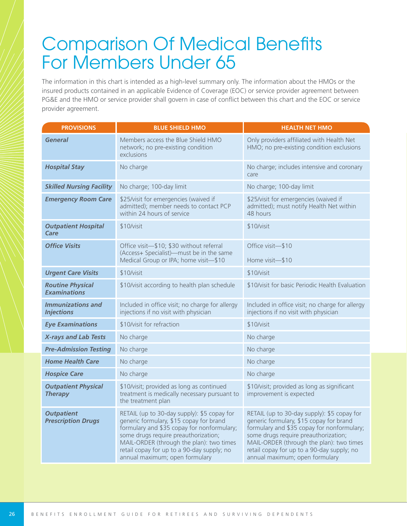# **Comparison Of Medical Benefits** For Members Under 65

The information in this chart is intended as a high-level summary only. The information about the HMOs or the insured products contained in an applicable Evidence of Coverage (EOC) or service provider agreement between PG&E and the HMO or service provider shall govern in case of conflict between this chart and the EOC or service provider agreement.

| <b>PROVISIONS</b>                              | <b>BLUE SHIELD HMO</b>                                                                                                                                                                                                                                                                                   | <b>HEALTH NET HMO</b>                                                                                                                                                                                                                                                                                    |
|------------------------------------------------|----------------------------------------------------------------------------------------------------------------------------------------------------------------------------------------------------------------------------------------------------------------------------------------------------------|----------------------------------------------------------------------------------------------------------------------------------------------------------------------------------------------------------------------------------------------------------------------------------------------------------|
| <b>General</b>                                 | Members access the Blue Shield HMO<br>network; no pre-existing condition<br>exclusions                                                                                                                                                                                                                   | Only providers affiliated with Health Net<br>HMO; no pre-existing condition exclusions                                                                                                                                                                                                                   |
| <b>Hospital Stay</b>                           | No charge                                                                                                                                                                                                                                                                                                | No charge; includes intensive and coronary<br>care                                                                                                                                                                                                                                                       |
| <b>Skilled Nursing Facility</b>                | No charge; 100-day limit                                                                                                                                                                                                                                                                                 | No charge; 100-day limit                                                                                                                                                                                                                                                                                 |
| <b>Emergency Room Care</b>                     | \$25/visit for emergencies (waived if<br>admitted); member needs to contact PCP<br>within 24 hours of service                                                                                                                                                                                            | \$25/visit for emergencies (waived if<br>admitted); must notify Health Net within<br>48 hours                                                                                                                                                                                                            |
| <b>Outpatient Hospital</b><br>Care             | \$10/visit                                                                                                                                                                                                                                                                                               | \$10/visit                                                                                                                                                                                                                                                                                               |
| <b>Office Visits</b>                           | Office visit-\$10; \$30 without referral                                                                                                                                                                                                                                                                 | Office visit-\$10                                                                                                                                                                                                                                                                                        |
|                                                | (Access+ Specialist)—must be in the same<br>Medical Group or IPA; home visit-\$10                                                                                                                                                                                                                        | Home visit-\$10                                                                                                                                                                                                                                                                                          |
| <b>Urgent Care Visits</b>                      | \$10/visit                                                                                                                                                                                                                                                                                               | \$10/visit                                                                                                                                                                                                                                                                                               |
| <b>Routine Physical</b><br><b>Examinations</b> | \$10/visit according to health plan schedule                                                                                                                                                                                                                                                             | \$10/visit for basic Periodic Health Evaluation                                                                                                                                                                                                                                                          |
| <b>Immunizations and</b><br><b>Injections</b>  | Included in office visit; no charge for allergy<br>injections if no visit with physician                                                                                                                                                                                                                 | Included in office visit; no charge for allergy<br>injections if no visit with physician                                                                                                                                                                                                                 |
| <b>Eye Examinations</b>                        | \$10/visit for refraction                                                                                                                                                                                                                                                                                | \$10/visit                                                                                                                                                                                                                                                                                               |
| <b>X-rays and Lab Tests</b>                    | No charge                                                                                                                                                                                                                                                                                                | No charge                                                                                                                                                                                                                                                                                                |
| <b>Pre-Admission Testing</b>                   | No charge                                                                                                                                                                                                                                                                                                | No charge                                                                                                                                                                                                                                                                                                |
| <b>Home Health Care</b>                        | No charge                                                                                                                                                                                                                                                                                                | No charge                                                                                                                                                                                                                                                                                                |
| <b>Hospice Care</b>                            | No charge                                                                                                                                                                                                                                                                                                | No charge                                                                                                                                                                                                                                                                                                |
| <b>Outpatient Physical</b><br><b>Therapy</b>   | \$10/visit; provided as long as continued<br>treatment is medically necessary pursuant to<br>the treatment plan                                                                                                                                                                                          | \$10/visit; provided as long as significant<br>improvement is expected                                                                                                                                                                                                                                   |
| <b>Outpatient</b><br><b>Prescription Drugs</b> | RETAIL (up to 30-day supply): \$5 copay for<br>generic formulary, \$15 copay for brand<br>formulary and \$35 copay for nonformulary;<br>some drugs require preauthorization;<br>MAIL-ORDER (through the plan): two times<br>retail copay for up to a 90-day supply; no<br>annual maximum; open formulary | RETAIL (up to 30-day supply): \$5 copay for<br>generic formulary, \$15 copay for brand<br>formulary and \$35 copay for nonformulary;<br>some drugs require preauthorization;<br>MAIL-ORDER (through the plan): two times<br>retail copay for up to a 90-day supply; no<br>annual maximum; open formulary |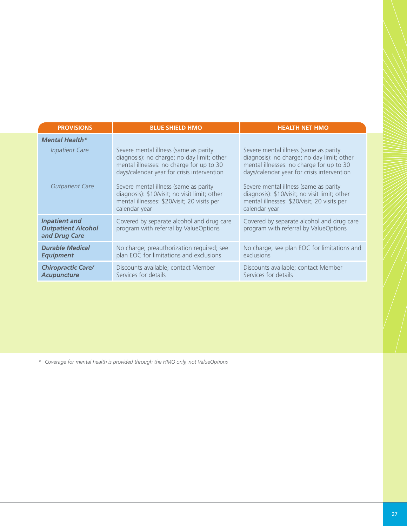| <b>PROVISIONS</b>                                                  | <b>BLUE SHIELD HMO</b>                                                                                                                                                                                                                                                  | <b>HEALTH NET HMO</b>                                                                                                                                                                                                                                                   |
|--------------------------------------------------------------------|-------------------------------------------------------------------------------------------------------------------------------------------------------------------------------------------------------------------------------------------------------------------------|-------------------------------------------------------------------------------------------------------------------------------------------------------------------------------------------------------------------------------------------------------------------------|
| <b>Mental Health*</b>                                              |                                                                                                                                                                                                                                                                         |                                                                                                                                                                                                                                                                         |
| <b>Inpatient Care</b><br><b>Outpatient Care</b>                    | Severe mental illness (same as parity<br>diagnosis): no charge; no day limit; other<br>mental illnesses: no charge for up to 30<br>days/calendar year for crisis intervention<br>Severe mental illness (same as parity<br>diagnosis): \$10/visit; no visit limit; other | Severe mental illness (same as parity<br>diagnosis): no charge; no day limit; other<br>mental illnesses: no charge for up to 30<br>days/calendar year for crisis intervention<br>Severe mental illness (same as parity<br>diagnosis): \$10/visit; no visit limit; other |
|                                                                    | mental illnesses: \$20/visit; 20 visits per<br>calendar year                                                                                                                                                                                                            | mental illnesses: \$20/visit; 20 visits per<br>calendar year                                                                                                                                                                                                            |
| <b>Inpatient and</b><br><b>Outpatient Alcohol</b><br>and Drug Care | Covered by separate alcohol and drug care<br>program with referral by ValueOptions                                                                                                                                                                                      | Covered by separate alcohol and drug care<br>program with referral by ValueOptions                                                                                                                                                                                      |
| <b>Durable Medical</b><br><b>Equipment</b>                         | No charge; preauthorization required; see<br>plan EOC for limitations and exclusions                                                                                                                                                                                    | No charge; see plan EOC for limitations and<br>exclusions                                                                                                                                                                                                               |
| <b>Chiropractic Care/</b><br><b>Acupuncture</b>                    | Discounts available; contact Member<br>Services for details                                                                                                                                                                                                             | Discounts available; contact Member<br>Services for details                                                                                                                                                                                                             |

*\* Coverage for mental health is provided through the HMO only, not ValueOptions*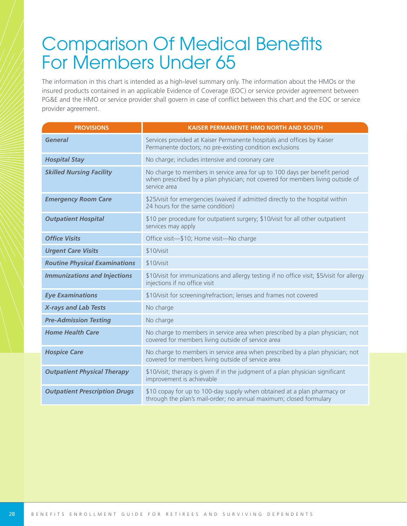# **Comparison Of Medical Benefits** For Members Under 65

The information in this chart is intended as a high-level summary only. The information about the HMOs or the insured products contained in an applicable Evidence of Coverage (EOC) or service provider agreement between PG&E and the HMO or service provider shall govern in case of conflict between this chart and the EOC or service provider agreement.

| <b>PROVISIONS</b>                    | <b>KAISER PERMANENTE HMO NORTH AND SOUTH</b>                                                                                                                                 |
|--------------------------------------|------------------------------------------------------------------------------------------------------------------------------------------------------------------------------|
| <b>General</b>                       | Services provided at Kaiser Permanente hospitals and offices by Kaiser<br>Permanente doctors; no pre-existing condition exclusions                                           |
| <b>Hospital Stay</b>                 | No charge; includes intensive and coronary care                                                                                                                              |
| <b>Skilled Nursing Facility</b>      | No charge to members in service area for up to 100 days per benefit period<br>when prescribed by a plan physician; not covered for members living outside of<br>service area |
| <b>Emergency Room Care</b>           | \$25/visit for emergencies (waived if admitted directly to the hospital within<br>24 hours for the same condition)                                                           |
| <b>Outpatient Hospital</b>           | \$10 per procedure for outpatient surgery; \$10/visit for all other outpatient<br>services may apply                                                                         |
| <b>Office Visits</b>                 | Office visit-\$10; Home visit-No charge                                                                                                                                      |
| <b>Urgent Care Visits</b>            | \$10/vist                                                                                                                                                                    |
| <b>Routine Physical Examinations</b> | \$10/visit                                                                                                                                                                   |
| <b>Immunizations and Injections</b>  | \$10/visit for immunizations and allergy testing if no office visit; \$5/visit for allergy<br>injections if no office visit                                                  |
| <b>Eye Examinations</b>              | \$10/visit for screening/refraction; lenses and frames not covered                                                                                                           |
| <b>X-rays and Lab Tests</b>          | No charge                                                                                                                                                                    |
| <b>Pre-Admission Testing</b>         | No charge                                                                                                                                                                    |
| <b>Home Health Care</b>              | No charge to members in service area when prescribed by a plan physician; not<br>covered for members living outside of service area                                          |
| <b>Hospice Care</b>                  | No charge to members in service area when prescribed by a plan physician; not<br>covered for members living outside of service area                                          |
| <b>Outpatient Physical Therapy</b>   | \$10/visit; therapy is given if in the judgment of a plan physician significant<br>improvement is achievable                                                                 |
| <b>Outpatient Prescription Drugs</b> | \$10 copay for up to 100-day supply when obtained at a plan pharmacy or<br>through the plan's mail-order; no annual maximum; closed formulary                                |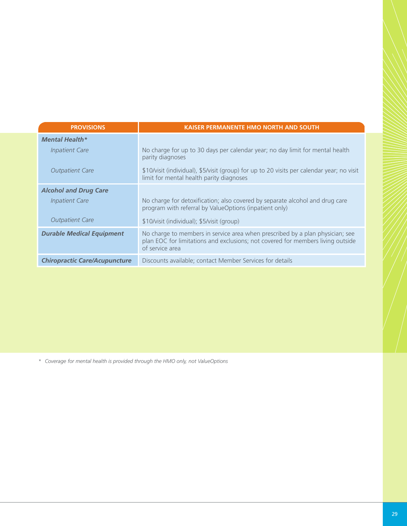| <b>PROVISIONS</b>                    | <b>KAISER PERMANENTE HMO NORTH AND SOUTH</b>                                                                                                                                        |
|--------------------------------------|-------------------------------------------------------------------------------------------------------------------------------------------------------------------------------------|
| <b>Mental Health*</b>                |                                                                                                                                                                                     |
| <b>Inpatient Care</b>                | No charge for up to 30 days per calendar year; no day limit for mental health<br>parity diagnoses                                                                                   |
| <b>Outpatient Care</b>               | \$10/visit (individual), \$5/visit (group) for up to 20 visits per calendar year; no visit<br>limit for mental health parity diagnoses                                              |
| <b>Alcohol and Drug Care</b>         |                                                                                                                                                                                     |
| <b>Inpatient Care</b>                | No charge for detoxification; also covered by separate alcohol and drug care<br>program with referral by ValueOptions (inpatient only)                                              |
| <b>Outpatient Care</b>               | \$10/visit (individual); \$5/visit (group)                                                                                                                                          |
| <b>Durable Medical Equipment</b>     | No charge to members in service area when prescribed by a plan physician; see<br>plan EOC for limitations and exclusions; not covered for members living outside<br>of service area |
| <b>Chiropractic Care/Acupuncture</b> | Discounts available; contact Member Services for details                                                                                                                            |

*\* Coverage for mental health is provided through the HMO only, not ValueOptions*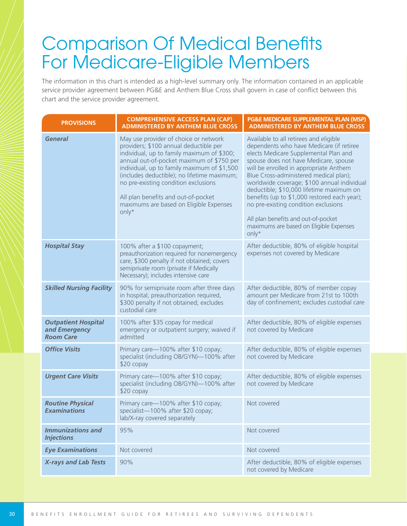# **Comparison Of Medical Benefits** For Medicare-Eligible Members

The information in this chart is intended as a high-level summary only. The information contained in an applicable service provider agreement between PG&E and Anthem Blue Cross shall govern in case of conflict between this chart and the service provider agreement.

| <b>PROVISIONS</b>                                               | <b>COMPREHENSIVE ACCESS PLAN (CAP)</b><br><b>ADMINISTERED BY ANTHEM BLUE CROSS</b>                                                                                                                                                                                                                                                                                                                          | PG&E MEDICARE SUPPLEMENTAL PLAN (MSP)<br><b>ADMINISTERED BY ANTHEM BLUE CROSS</b>                                                                                                                                                                                                                                                                                                                                                                                                                                                      |
|-----------------------------------------------------------------|-------------------------------------------------------------------------------------------------------------------------------------------------------------------------------------------------------------------------------------------------------------------------------------------------------------------------------------------------------------------------------------------------------------|----------------------------------------------------------------------------------------------------------------------------------------------------------------------------------------------------------------------------------------------------------------------------------------------------------------------------------------------------------------------------------------------------------------------------------------------------------------------------------------------------------------------------------------|
| <b>General</b>                                                  | May use provider of choice or network<br>providers; \$100 annual deductible per<br>individual, up to family maximum of \$300;<br>annual out-of-pocket maximum of \$750 per<br>individual, up to family maximum of \$1,500<br>(includes deductible); no lifetime maximum;<br>no pre-existing condition exclusions<br>All plan benefits and out-of-pocket<br>maximums are based on Eligible Expenses<br>only* | Available to all retirees and eligible<br>dependents who have Medicare (if retiree<br>elects Medicare Supplemental Plan and<br>spouse does not have Medicare, spouse<br>will be enrolled in appropriate Anthem<br>Blue Cross-administered medical plan);<br>worldwide coverage; \$100 annual individual<br>deductible; \$10,000 lifetime maximum on<br>benefits (up to \$1,000 restored each year);<br>no pre-existing condition exclusions<br>All plan benefits and out-of-pocket<br>maximums are based on Eligible Expenses<br>only* |
| <b>Hospital Stay</b>                                            | 100% after a \$100 copayment;<br>preauthorization required for nonemergency<br>care, \$300 penalty if not obtained; covers<br>semiprivate room (private if Medically<br>Necessary); includes intensive care                                                                                                                                                                                                 | After deductible, 80% of eligible hospital<br>expenses not covered by Medicare                                                                                                                                                                                                                                                                                                                                                                                                                                                         |
| <b>Skilled Nursing Facility</b>                                 | 90% for semiprivate room after three days<br>in hospital; preauthorization required,<br>\$300 penalty if not obtained; excludes<br>custodial care                                                                                                                                                                                                                                                           | After deductible, 80% of member copay<br>amount per Medicare from 21st to 100th<br>day of confinement; excludes custodial care                                                                                                                                                                                                                                                                                                                                                                                                         |
| <b>Outpatient Hospital</b><br>and Emergency<br><b>Room Care</b> | 100% after \$35 copay for medical<br>emergency or outpatient surgery; waived if<br>admitted                                                                                                                                                                                                                                                                                                                 | After deductible, 80% of eligible expenses<br>not covered by Medicare                                                                                                                                                                                                                                                                                                                                                                                                                                                                  |
| <b>Office Visits</b>                                            | Primary care-100% after \$10 copay;<br>specialist (including OB/GYN)-100% after<br>\$20 copay                                                                                                                                                                                                                                                                                                               | After deductible, 80% of eligible expenses<br>not covered by Medicare                                                                                                                                                                                                                                                                                                                                                                                                                                                                  |
| <b>Urgent Care Visits</b>                                       | Primary care-100% after \$10 copay;<br>specialist (including OB/GYN)-100% after<br>\$20 copay                                                                                                                                                                                                                                                                                                               | After deductible, 80% of eligible expenses<br>not covered by Medicare                                                                                                                                                                                                                                                                                                                                                                                                                                                                  |
| <b>Routine Physical</b><br><b>Examinations</b>                  | Primary care-100% after \$10 copay;<br>specialist-100% after \$20 copay;<br>lab/X-ray covered separately                                                                                                                                                                                                                                                                                                    | Not covered                                                                                                                                                                                                                                                                                                                                                                                                                                                                                                                            |
| <b>Immunizations and</b><br><b>Injections</b>                   | 95%                                                                                                                                                                                                                                                                                                                                                                                                         | Not covered                                                                                                                                                                                                                                                                                                                                                                                                                                                                                                                            |
| <b>Eye Examinations</b>                                         | Not covered                                                                                                                                                                                                                                                                                                                                                                                                 | Not covered                                                                                                                                                                                                                                                                                                                                                                                                                                                                                                                            |
| <b>X-rays and Lab Tests</b>                                     | 90%                                                                                                                                                                                                                                                                                                                                                                                                         | After deductible, 80% of eligible expenses<br>not covered by Medicare                                                                                                                                                                                                                                                                                                                                                                                                                                                                  |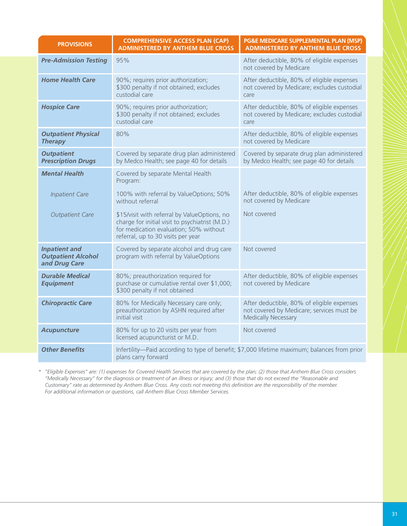| <b>PROVISIONS</b>                                                  | <b>COMPREHENSIVE ACCESS PLAN (CAP)</b><br><b>ADMINISTERED BY ANTHEM BLUE CROSS</b>                                                                                              | PG&E MEDICARE SUPPLEMENTAL PLAN (MSP)<br><b>ADMINISTERED BY ANTHEM BLUE CROSS</b>                                     |
|--------------------------------------------------------------------|---------------------------------------------------------------------------------------------------------------------------------------------------------------------------------|-----------------------------------------------------------------------------------------------------------------------|
| <b>Pre-Admission Testing</b>                                       | 95%                                                                                                                                                                             | After deductible, 80% of eligible expenses<br>not covered by Medicare                                                 |
| <b>Home Health Care</b>                                            | 90%; requires prior authorization;<br>\$300 penalty if not obtained; excludes<br>custodial care                                                                                 | After deductible, 80% of eligible expenses<br>not covered by Medicare; excludes custodial<br>care                     |
| <b>Hospice Care</b>                                                | 90%; requires prior authorization;<br>\$300 penalty if not obtained; excludes<br>custodial care                                                                                 | After deductible, 80% of eligible expenses<br>not covered by Medicare; excludes custodial<br>care                     |
| <b>Outpatient Physical</b><br><b>Therapy</b>                       | 80%                                                                                                                                                                             | After deductible, 80% of eligible expenses<br>not covered by Medicare                                                 |
| <b>Outpatient</b><br><b>Prescription Drugs</b>                     | Covered by separate drug plan administered<br>by Medco Health; see page 40 for details                                                                                          | Covered by separate drug plan administered<br>by Medco Health; see page 40 for details                                |
| <b>Mental Health</b>                                               | Covered by separate Mental Health<br>Program:                                                                                                                                   |                                                                                                                       |
| <b>Inpatient Care</b>                                              | 100% with referral by ValueOptions; 50%<br>without referral                                                                                                                     | After deductible, 80% of eligible expenses<br>not covered by Medicare                                                 |
| <b>Outpatient Care</b>                                             | \$15/visit with referral by ValueOptions, no<br>charge for initial visit to psychiatrist (M.D.)<br>for medication evaluation; 50% without<br>referral, up to 30 visits per year | Not covered                                                                                                           |
| <b>Inpatient and</b><br><b>Outpatient Alcohol</b><br>and Drug Care | Covered by separate alcohol and drug care<br>program with referral by ValueOptions                                                                                              | Not covered                                                                                                           |
| <b>Durable Medical</b><br><b>Equipment</b>                         | 80%; preauthorization required for<br>purchase or cumulative rental over \$1,000;<br>\$300 penalty if not obtained                                                              | After deductible, 80% of eligible expenses<br>not covered by Medicare                                                 |
| <b>Chiropractic Care</b>                                           | 80% for Medically Necessary care only;<br>preauthorization by ASHN required after<br>initial visit                                                                              | After deductible, 80% of eligible expenses<br>not covered by Medicare; services must be<br><b>Medically Necessary</b> |
| <b>Acupuncture</b>                                                 | 80% for up to 20 visits per year from<br>licensed acupuncturist or M.D.                                                                                                         | Not covered                                                                                                           |
| <b>Other Benefits</b>                                              | plans carry forward                                                                                                                                                             | Infertility-Paid according to type of benefit; \$7,000 lifetime maximum; balances from prior                          |

*\* "Eligible Expenses" are: (1) expenses for Covered Health Services that are covered by the plan; (2) those that Anthem Blue Cross considers "Medically Necessary" for the diagnosis or treatment of an illness or injury; and (3) those that do not exceed the "Reasonable and Customary" rate as determined by Anthem Blue Cross. Any costs not meeting this defi nition are the responsibility of the member. For additional information or questions, call Anthem Blue Cross Member Services.*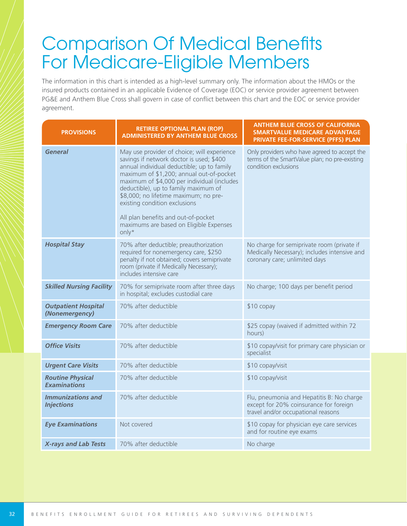# **Comparison Of Medical Benefits** For Medicare-Eligible Members

The information in this chart is intended as a high-level summary only. The information about the HMOs or the insured products contained in an applicable Evidence of Coverage (EOC) or service provider agreement between PG&E and Anthem Blue Cross shall govern in case of conflict between this chart and the EOC or service provider agreement.

| <b>PROVISIONS</b>                              | <b>RETIREE OPTIONAL PLAN (ROP)</b><br><b>ADMINISTERED BY ANTHEM BLUE CROSS</b>                                                                                                                                                                                                                                                                                                                                                                | <b>ANTHEM BLUE CROSS OF CALIFORNIA</b><br><b>SMARTVALUE MEDICARE ADVANTAGE</b><br>PRIVATE FEE-FOR-SERVICE (PFFS) PLAN       |
|------------------------------------------------|-----------------------------------------------------------------------------------------------------------------------------------------------------------------------------------------------------------------------------------------------------------------------------------------------------------------------------------------------------------------------------------------------------------------------------------------------|-----------------------------------------------------------------------------------------------------------------------------|
| General                                        | May use provider of choice; will experience<br>savings if network doctor is used; \$400<br>annual individual deductible; up to family<br>maximum of \$1,200; annual out-of-pocket<br>maximum of \$4,000 per individual (includes<br>deductible), up to family maximum of<br>\$8,000; no lifetime maximum; no pre-<br>existing condition exclusions<br>All plan benefits and out-of-pocket<br>maximums are based on Eligible Expenses<br>only* | Only providers who have agreed to accept the<br>terms of the SmartValue plan; no pre-existing<br>condition exclusions       |
| <b>Hospital Stay</b>                           | 70% after deductible; preauthorization<br>required for nonemergency care, \$250<br>penalty if not obtained; covers semiprivate<br>room (private if Medically Necessary);<br>includes intensive care                                                                                                                                                                                                                                           | No charge for semiprivate room (private if<br>Medically Necessary); includes intensive and<br>coronary care; unlimited days |
| <b>Skilled Nursing Facility</b>                | 70% for semiprivate room after three days<br>in hospital; excludes custodial care                                                                                                                                                                                                                                                                                                                                                             | No charge; 100 days per benefit period                                                                                      |
| <b>Outpatient Hospital</b><br>(Nonemergency)   | 70% after deductible                                                                                                                                                                                                                                                                                                                                                                                                                          | $$10$ copay                                                                                                                 |
| <b>Emergency Room Care</b>                     | 70% after deductible                                                                                                                                                                                                                                                                                                                                                                                                                          | \$25 copay (waived if admitted within 72<br>hours)                                                                          |
| <b>Office Visits</b>                           | 70% after deductible                                                                                                                                                                                                                                                                                                                                                                                                                          | \$10 copay/visit for primary care physician or<br>specialist                                                                |
| <b>Urgent Care Visits</b>                      | 70% after deductible                                                                                                                                                                                                                                                                                                                                                                                                                          | \$10 copay/visit                                                                                                            |
| <b>Routine Physical</b><br><b>Examinations</b> | 70% after deductible                                                                                                                                                                                                                                                                                                                                                                                                                          | \$10 copay/visit                                                                                                            |
| <b>Immunizations and</b><br><b>Injections</b>  | 70% after deductible                                                                                                                                                                                                                                                                                                                                                                                                                          | Flu, pneumonia and Hepatitis B: No charge<br>except for 20% coinsurance for foreign<br>travel and/or occupational reasons   |
| <b>Eye Examinations</b>                        | Not covered                                                                                                                                                                                                                                                                                                                                                                                                                                   | \$10 copay for physician eye care services<br>and for routine eye exams                                                     |
| <b>X-rays and Lab Tests</b>                    | 70% after deductible                                                                                                                                                                                                                                                                                                                                                                                                                          | No charge                                                                                                                   |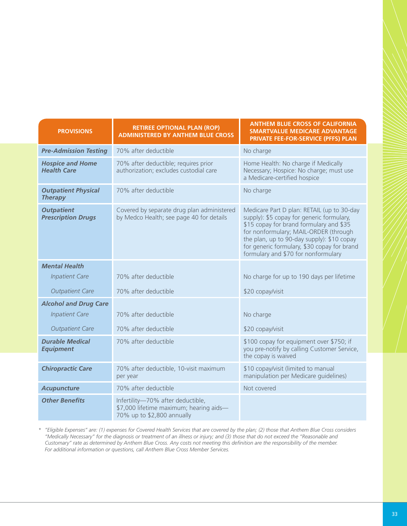| <b>PROVISIONS</b>                              | <b>RETIREE OPTIONAL PLAN (ROP)</b><br><b>ADMINISTERED BY ANTHEM BLUE CROSS</b>                             | <b>ANTHEM BLUE CROSS OF CALIFORNIA</b><br><b>SMARTVALUE MEDICARE ADVANTAGE</b><br>PRIVATE FEE-FOR-SERVICE (PFFS) PLAN                                                                                                                                                                                           |
|------------------------------------------------|------------------------------------------------------------------------------------------------------------|-----------------------------------------------------------------------------------------------------------------------------------------------------------------------------------------------------------------------------------------------------------------------------------------------------------------|
| <b>Pre-Admission Testing</b>                   | 70% after deductible                                                                                       | No charge                                                                                                                                                                                                                                                                                                       |
| <b>Hospice and Home</b><br><b>Health Care</b>  | 70% after deductible; requires prior<br>authorization; excludes custodial care                             | Home Health: No charge if Medically<br>Necessary; Hospice: No charge; must use<br>a Medicare-certified hospice                                                                                                                                                                                                  |
| <b>Outpatient Physical</b><br><b>Therapy</b>   | 70% after deductible                                                                                       | No charge                                                                                                                                                                                                                                                                                                       |
| <b>Outpatient</b><br><b>Prescription Drugs</b> | Covered by separate drug plan administered<br>by Medco Health; see page 40 for details                     | Medicare Part D plan: RETAIL (up to 30-day<br>supply): \$5 copay for generic formulary,<br>\$15 copay for brand formulary and \$35<br>for nonformulary; MAIL-ORDER (through<br>the plan, up to 90-day supply): \$10 copay<br>for generic formulary, \$30 copay for brand<br>formulary and \$70 for nonformulary |
| <b>Mental Health</b>                           |                                                                                                            |                                                                                                                                                                                                                                                                                                                 |
| <b>Inpatient Care</b>                          | 70% after deductible                                                                                       | No charge for up to 190 days per lifetime                                                                                                                                                                                                                                                                       |
| <b>Outpatient Care</b>                         | 70% after deductible                                                                                       | \$20 copay/visit                                                                                                                                                                                                                                                                                                |
| <b>Alcohol and Drug Care</b>                   |                                                                                                            |                                                                                                                                                                                                                                                                                                                 |
| <b>Inpatient Care</b>                          | 70% after deductible                                                                                       | No charge                                                                                                                                                                                                                                                                                                       |
| <b>Outpatient Care</b>                         | 70% after deductible                                                                                       | \$20 copay/visit                                                                                                                                                                                                                                                                                                |
| <b>Durable Medical</b><br><b>Equipment</b>     | 70% after deductible                                                                                       | \$100 copay for equipment over \$750; if<br>you pre-notify by calling Customer Service,<br>the copay is waived                                                                                                                                                                                                  |
| <b>Chiropractic Care</b>                       | 70% after deductible, 10-visit maximum<br>per year                                                         | \$10 copay/visit (limited to manual<br>manipulation per Medicare guidelines)                                                                                                                                                                                                                                    |
| <b>Acupuncture</b>                             | 70% after deductible                                                                                       | Not covered                                                                                                                                                                                                                                                                                                     |
| <b>Other Benefits</b>                          | Infertility-70% after deductible,<br>\$7,000 lifetime maximum; hearing aids-<br>70% up to \$2,800 annually |                                                                                                                                                                                                                                                                                                                 |

*\* "Eligible Expenses" are: (1) expenses for Covered Health Services that are covered by the plan; (2) those that Anthem Blue Cross considers "Medically Necessary" for the diagnosis or treatment of an illness or injury; and (3) those that do not exceed the "Reasonable and Customary" rate as determined by Anthem Blue Cross. Any costs not meeting this defi nition are the responsibility of the member. For additional information or questions, call Anthem Blue Cross Member Services.*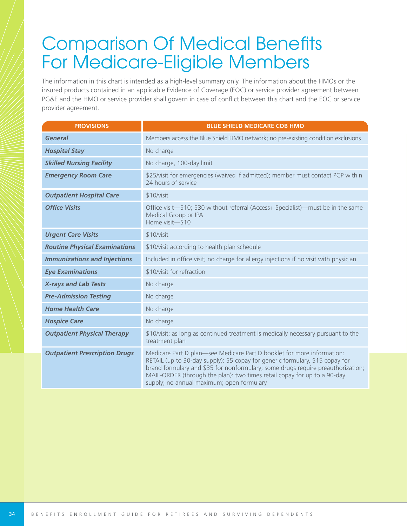# **Comparison Of Medical Benefits** For Medicare-Eligible Members

The information in this chart is intended as a high-level summary only. The information about the HMOs or the insured products contained in an applicable Evidence of Coverage (EOC) or service provider agreement between PG&E and the HMO or service provider shall govern in case of conflict between this chart and the EOC or service provider agreement.

| <b>PROVISIONS</b>                    | <b>BLUE SHIELD MEDICARE COB HMO</b>                                                                                                                                                                                                                                                                                                                                 |
|--------------------------------------|---------------------------------------------------------------------------------------------------------------------------------------------------------------------------------------------------------------------------------------------------------------------------------------------------------------------------------------------------------------------|
| <b>General</b>                       | Members access the Blue Shield HMO network; no pre-existing condition exclusions                                                                                                                                                                                                                                                                                    |
| <b>Hospital Stay</b>                 | No charge                                                                                                                                                                                                                                                                                                                                                           |
| <b>Skilled Nursing Facility</b>      | No charge, 100-day limit                                                                                                                                                                                                                                                                                                                                            |
| <b>Emergency Room Care</b>           | \$25/visit for emergencies (waived if admitted); member must contact PCP within<br>24 hours of service                                                                                                                                                                                                                                                              |
| <b>Outpatient Hospital Care</b>      | \$10/visit                                                                                                                                                                                                                                                                                                                                                          |
| <b>Office Visits</b>                 | Office visit-\$10; \$30 without referral (Access+ Specialist)—must be in the same<br>Medical Group or IPA<br>Home visit-\$10                                                                                                                                                                                                                                        |
| <b>Urgent Care Visits</b>            | \$10/visit                                                                                                                                                                                                                                                                                                                                                          |
| <b>Routine Physical Examinations</b> | \$10/visit according to health plan schedule                                                                                                                                                                                                                                                                                                                        |
| <b>Immunizations and Injections</b>  | Included in office visit; no charge for allergy injections if no visit with physician                                                                                                                                                                                                                                                                               |
| <b>Eye Examinations</b>              | \$10/visit for refraction                                                                                                                                                                                                                                                                                                                                           |
| <b>X-rays and Lab Tests</b>          | No charge                                                                                                                                                                                                                                                                                                                                                           |
| <b>Pre-Admission Testing</b>         | No charge                                                                                                                                                                                                                                                                                                                                                           |
| <b>Home Health Care</b>              | No charge                                                                                                                                                                                                                                                                                                                                                           |
| <b>Hospice Care</b>                  | No charge                                                                                                                                                                                                                                                                                                                                                           |
| <b>Outpatient Physical Therapy</b>   | \$10/visit; as long as continued treatment is medically necessary pursuant to the<br>treatment plan                                                                                                                                                                                                                                                                 |
| <b>Outpatient Prescription Drugs</b> | Medicare Part D plan-see Medicare Part D booklet for more information:<br>RETAIL (up to 30-day supply): \$5 copay for generic formulary, \$15 copay for<br>brand formulary and \$35 for nonformulary; some drugs require preauthorization;<br>MAIL-ORDER (through the plan): two times retail copay for up to a 90-day<br>supply; no annual maximum; open formulary |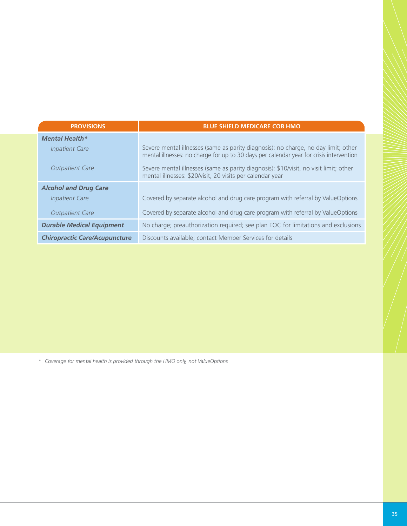| <b>PROVISIONS</b>                    | <b>BLUE SHIELD MEDICARE COB HMO</b>                                                                                                                                           |
|--------------------------------------|-------------------------------------------------------------------------------------------------------------------------------------------------------------------------------|
| <b>Mental Health*</b>                |                                                                                                                                                                               |
| <b>Inpatient Care</b>                | Severe mental illnesses (same as parity diagnosis): no charge, no day limit; other<br>mental illnesses: no charge for up to 30 days per calendar year for crisis intervention |
| <b>Outpatient Care</b>               | Severe mental illnesses (same as parity diagnosis): \$10/visit, no visit limit; other<br>mental illnesses: \$20/visit, 20 visits per calendar year                            |
| <b>Alcohol and Drug Care</b>         |                                                                                                                                                                               |
| <b>Inpatient Care</b>                | Covered by separate alcohol and drug care program with referral by ValueOptions                                                                                               |
| <b>Outpatient Care</b>               | Covered by separate alcohol and drug care program with referral by ValueOptions                                                                                               |
| <b>Durable Medical Equipment</b>     | No charge; preauthorization required; see plan EOC for limitations and exclusions                                                                                             |
| <b>Chiropractic Care/Acupuncture</b> | Discounts available; contact Member Services for details                                                                                                                      |

*\* Coverage for mental health is provided through the HMO only, not ValueOptions*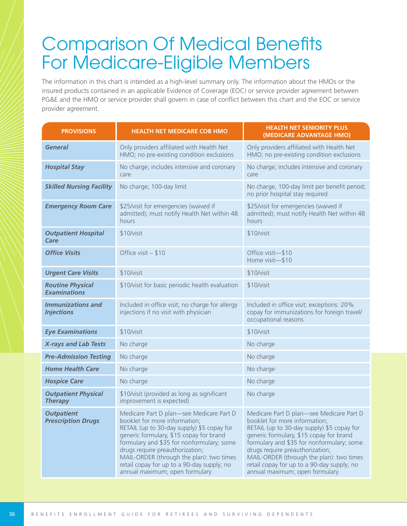# **Comparison Of Medical Benefits** For Medicare-Eligible Members

The information in this chart is intended as a high-level summary only. The information about the HMOs or the insured products contained in an applicable Evidence of Coverage (EOC) or service provider agreement between PG&E and the HMO or service provider shall govern in case of conflict between this chart and the EOC or service provider agreement.

| <b>PROVISIONS</b>                              | <b>HEALTH NET MEDICARE COB HMO</b>                                                                                                                                                                                                                                                                                                                                             | <b>HEALTH NET SENIORITY PLUS</b><br>(MEDICARE ADVANTAGE HMO)                                                                                                                                                                                                                                                                                                                   |  |
|------------------------------------------------|--------------------------------------------------------------------------------------------------------------------------------------------------------------------------------------------------------------------------------------------------------------------------------------------------------------------------------------------------------------------------------|--------------------------------------------------------------------------------------------------------------------------------------------------------------------------------------------------------------------------------------------------------------------------------------------------------------------------------------------------------------------------------|--|
| <b>General</b>                                 | Only providers affiliated with Health Net<br>HMO; no pre-existing condition exclusions                                                                                                                                                                                                                                                                                         | Only providers affiliated with Health Net<br>HMO; no pre-existing condition exclusions                                                                                                                                                                                                                                                                                         |  |
| <b>Hospital Stay</b>                           | No charge; includes intensive and coronary<br>care                                                                                                                                                                                                                                                                                                                             | No charge; includes intensive and coronary<br>care                                                                                                                                                                                                                                                                                                                             |  |
| <b>Skilled Nursing Facility</b>                | No charge; 100-day limit                                                                                                                                                                                                                                                                                                                                                       | No charge, 100-day limit per benefit period;<br>no prior hospital stay required                                                                                                                                                                                                                                                                                                |  |
| <b>Emergency Room Care</b>                     | \$25/visit for emergencies (waived if<br>admitted); must notify Health Net within 48<br>hours                                                                                                                                                                                                                                                                                  | \$25/visit for emergencies (waived if<br>admitted); must notify Health Net within 48<br>hours                                                                                                                                                                                                                                                                                  |  |
| <b>Outpatient Hospital</b><br>Care             | \$10/visit                                                                                                                                                                                                                                                                                                                                                                     | \$10/visit                                                                                                                                                                                                                                                                                                                                                                     |  |
| <b>Office Visits</b>                           | Office visit - \$10                                                                                                                                                                                                                                                                                                                                                            | Office visit-\$10<br>Home visit-\$10                                                                                                                                                                                                                                                                                                                                           |  |
| <b>Urgent Care Visits</b>                      | \$10/visit                                                                                                                                                                                                                                                                                                                                                                     | \$10/visit                                                                                                                                                                                                                                                                                                                                                                     |  |
| <b>Routine Physical</b><br><b>Examinations</b> | \$10/visit for basic periodic health evaluation                                                                                                                                                                                                                                                                                                                                | \$10/visit                                                                                                                                                                                                                                                                                                                                                                     |  |
| <b>Immunizations and</b><br><b>Injections</b>  | Included in office visit; no charge for allergy<br>injections if no visit with physician                                                                                                                                                                                                                                                                                       | Included in office visit; exceptions: 20%<br>copay for immunizations for foreign travel/<br>occupational reasons                                                                                                                                                                                                                                                               |  |
| <b>Eye Examinations</b>                        | \$10/visit                                                                                                                                                                                                                                                                                                                                                                     | \$10/visit                                                                                                                                                                                                                                                                                                                                                                     |  |
| <b>X-rays and Lab Tests</b>                    | No charge                                                                                                                                                                                                                                                                                                                                                                      | No charge                                                                                                                                                                                                                                                                                                                                                                      |  |
| <b>Pre-Admission Testing</b>                   | No charge                                                                                                                                                                                                                                                                                                                                                                      | No charge                                                                                                                                                                                                                                                                                                                                                                      |  |
| <b>Home Health Care</b>                        | No charge                                                                                                                                                                                                                                                                                                                                                                      | No charge                                                                                                                                                                                                                                                                                                                                                                      |  |
| <b>Hospice Care</b>                            | No charge                                                                                                                                                                                                                                                                                                                                                                      | No charge                                                                                                                                                                                                                                                                                                                                                                      |  |
| <b>Outpatient Physical</b><br><b>Therapy</b>   | \$10/visit (provided as long as significant<br>improvement is expected)                                                                                                                                                                                                                                                                                                        | No charge                                                                                                                                                                                                                                                                                                                                                                      |  |
| <b>Outpatient</b><br><b>Prescription Drugs</b> | Medicare Part D plan-see Medicare Part D<br>booklet for more information;<br>RETAIL (up to 30-day supply) \$5 copay for<br>generic formulary, \$15 copay for brand<br>formulary and \$35 for nonformulary; some<br>drugs require preauthorization;<br>MAIL-ORDER (through the plan): two times<br>retail copay for up to a 90-day supply; no<br>annual maximum; open formulary | Medicare Part D plan-see Medicare Part D<br>booklet for more information;<br>RETAIL (up to 30-day supply) \$5 copay for<br>generic formulary, \$15 copay for brand<br>formulary and \$35 for nonformulary; some<br>drugs require preauthorization;<br>MAIL-ORDER (through the plan): two times<br>retail copay for up to a 90-day supply; no<br>annual maximum; open formulary |  |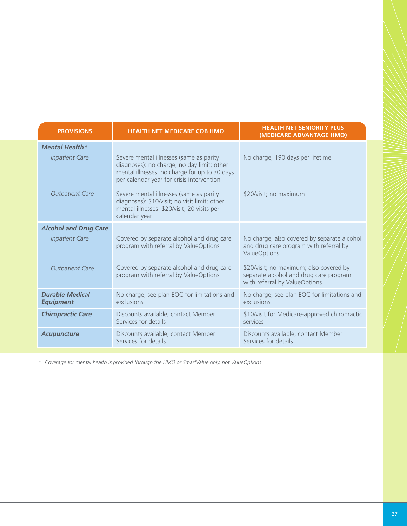| <b>PROVISIONS</b>                          | <b>HEALTH NET MEDICARE COB HMO</b>                                                                                                                                                  | <b>HEALTH NET SENIORITY PLUS</b><br>(MEDICARE ADVANTAGE HMO)                                                       |  |
|--------------------------------------------|-------------------------------------------------------------------------------------------------------------------------------------------------------------------------------------|--------------------------------------------------------------------------------------------------------------------|--|
| <b>Mental Health*</b>                      |                                                                                                                                                                                     |                                                                                                                    |  |
| <b>Inpatient Care</b>                      | Severe mental illnesses (same as parity<br>diagnoses): no charge; no day limit; other<br>mental illnesses: no charge for up to 30 days<br>per calendar year for crisis intervention | No charge; 190 days per lifetime                                                                                   |  |
| <b>Outpatient Care</b>                     | Severe mental illnesses (same as parity<br>diagnoses): \$10/visit; no visit limit; other<br>mental illnesses: \$20/visit; 20 visits per<br>calendar year                            | \$20/visit; no maximum                                                                                             |  |
| <b>Alcohol and Drug Care</b>               |                                                                                                                                                                                     |                                                                                                                    |  |
| <b>Inpatient Care</b>                      | Covered by separate alcohol and drug care<br>program with referral by ValueOptions                                                                                                  | No charge; also covered by separate alcohol<br>and drug care program with referral by<br><b>ValueOptions</b>       |  |
| <b>Outpatient Care</b>                     | Covered by separate alcohol and drug care<br>program with referral by ValueOptions                                                                                                  | \$20/visit; no maximum; also covered by<br>separate alcohol and drug care program<br>with referral by ValueOptions |  |
| <b>Durable Medical</b><br><b>Equipment</b> | No charge; see plan EOC for limitations and<br>exclusions                                                                                                                           | No charge; see plan EOC for limitations and<br>exclusions                                                          |  |
| <b>Chiropractic Care</b>                   | Discounts available; contact Member<br>Services for details                                                                                                                         | \$10/visit for Medicare-approved chiropractic<br>services                                                          |  |
| <b>Acupuncture</b>                         | Discounts available; contact Member<br>Services for details                                                                                                                         | Discounts available; contact Member<br>Services for details                                                        |  |

*\* Coverage for mental health is provided through the HMO or SmartValue only, not ValueOptions*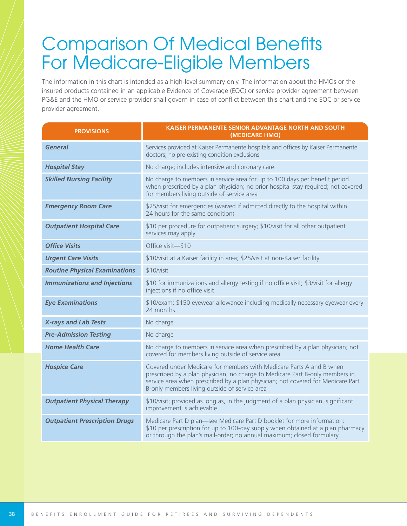# **Comparison Of Medical Benefits** For Medicare-Eligible Members

The information in this chart is intended as a high-level summary only. The information about the HMOs or the insured products contained in an applicable Evidence of Coverage (EOC) or service provider agreement between PG&E and the HMO or service provider shall govern in case of conflict between this chart and the EOC or service provider agreement.

| <b>PROVISIONS</b>                    | KAISER PERMANENTE SENIOR ADVANTAGE NORTH AND SOUTH<br>(MEDICARE HMO)                                                                                                                                                                                                                    |
|--------------------------------------|-----------------------------------------------------------------------------------------------------------------------------------------------------------------------------------------------------------------------------------------------------------------------------------------|
| <b>General</b>                       | Services provided at Kaiser Permanente hospitals and offices by Kaiser Permanente<br>doctors; no pre-existing condition exclusions                                                                                                                                                      |
| <b>Hospital Stay</b>                 | No charge; includes intensive and coronary care                                                                                                                                                                                                                                         |
| <b>Skilled Nursing Facility</b>      | No charge to members in service area for up to 100 days per benefit period<br>when prescribed by a plan physician; no prior hospital stay required; not covered<br>for members living outside of service area                                                                           |
| <b>Emergency Room Care</b>           | \$25/visit for emergencies (waived if admitted directly to the hospital within<br>24 hours for the same condition)                                                                                                                                                                      |
| <b>Outpatient Hospital Care</b>      | \$10 per procedure for outpatient surgery; \$10/visit for all other outpatient<br>services may apply                                                                                                                                                                                    |
| <b>Office Visits</b>                 | Office visit-\$10                                                                                                                                                                                                                                                                       |
| <b>Urgent Care Visits</b>            | \$10/visit at a Kaiser facility in area; \$25/visit at non-Kaiser facility                                                                                                                                                                                                              |
| <b>Routine Physical Examinations</b> | \$10/visit                                                                                                                                                                                                                                                                              |
| <b>Immunizations and Injections</b>  | \$10 for immunizations and allergy testing if no office visit; \$3/visit for allergy<br>injections if no office visit                                                                                                                                                                   |
| <b>Eye Examinations</b>              | \$10/exam; \$150 eyewear allowance including medically necessary eyewear every<br>24 months                                                                                                                                                                                             |
| <b>X-rays and Lab Tests</b>          | No charge                                                                                                                                                                                                                                                                               |
| <b>Pre-Admission Testing</b>         | No charge                                                                                                                                                                                                                                                                               |
| <b>Home Health Care</b>              | No charge to members in service area when prescribed by a plan physician; not<br>covered for members living outside of service area                                                                                                                                                     |
| <b>Hospice Care</b>                  | Covered under Medicare for members with Medicare Parts A and B when<br>prescribed by a plan physician; no charge to Medicare Part B-only members in<br>service area when prescribed by a plan physician; not covered for Medicare Part<br>B-only members living outside of service area |
| <b>Outpatient Physical Therapy</b>   | \$10/visit; provided as long as, in the judgment of a plan physician, significant<br>improvement is achievable                                                                                                                                                                          |
| <b>Outpatient Prescription Drugs</b> | Medicare Part D plan-see Medicare Part D booklet for more information:<br>\$10 per prescription for up to 100-day supply when obtained at a plan pharmacy<br>or through the plan's mail-order; no annual maximum; closed formulary                                                      |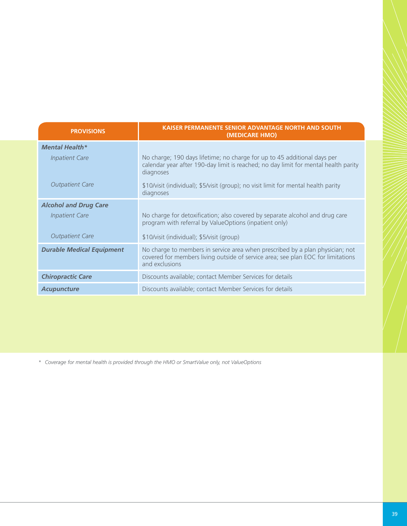| <b>PROVISIONS</b>                | <b>KAISER PERMANENTE SENIOR ADVANTAGE NORTH AND SOUTH</b><br>(MEDICARE HMO)                                                                                                         |
|----------------------------------|-------------------------------------------------------------------------------------------------------------------------------------------------------------------------------------|
| <b>Mental Health*</b>            |                                                                                                                                                                                     |
| <b>Inpatient Care</b>            | No charge; 190 days lifetime; no charge for up to 45 additional days per<br>calendar year after 190-day limit is reached; no day limit for mental health parity<br>diagnoses        |
| <b>Outpatient Care</b>           | \$10/visit (individual); \$5/visit (group); no visit limit for mental health parity<br>diagnoses                                                                                    |
| <b>Alcohol and Drug Care</b>     |                                                                                                                                                                                     |
| <b>Inpatient Care</b>            | No charge for detoxification; also covered by separate alcohol and drug care<br>program with referral by ValueOptions (inpatient only)                                              |
| <b>Outpatient Care</b>           | \$10/visit (individual); \$5/visit (group)                                                                                                                                          |
| <b>Durable Medical Equipment</b> | No charge to members in service area when prescribed by a plan physician; not<br>covered for members living outside of service area; see plan EOC for limitations<br>and exclusions |
| <b>Chiropractic Care</b>         | Discounts available; contact Member Services for details                                                                                                                            |
| <b>Acupuncture</b>               | Discounts available; contact Member Services for details                                                                                                                            |

*\* Coverage for mental health is provided through the HMO or SmartValue only, not ValueOptions*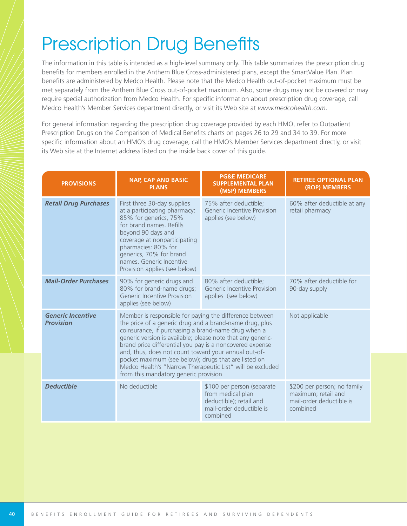# **Prescription Drug Benefits**

The information in this table is intended as a high-level summary only. This table summarizes the prescription drug benefits for members enrolled in the Anthem Blue Cross-administered plans, except the SmartValue Plan. Plan benefits are administered by Medco Health. Please note that the Medco Health out-of-pocket maximum must be met separately from the Anthem Blue Cross out-of-pocket maximum. Also, some drugs may not be covered or may require special authorization from Medco Health. For specific information about prescription drug coverage, call Medco Health's Member Services department directly, or visit its Web site at *www.medcohealth.com*.

For general information regarding the prescription drug coverage provided by each HMO, refer to Outpatient Prescription Drugs on the Comparison of Medical Benefits charts on pages 26 to 29 and 34 to 39. For more specific information about an HMO's drug coverage, call the HMO's Member Services department directly, or visit its Web site at the Internet address listed on the inside back cover of this guide.

| <b>PROVISIONS</b>                            | <b>NAP, CAP AND BASIC</b><br><b>PLANS</b>                                                                                                                                                                                                                                                                                                                                                                                                                                                                                  | <b>PG&amp;E MEDICARE</b><br><b>SUPPLEMENTAL PLAN</b><br>(MSP) MEMBERS                                              | <b>RETIREE OPTIONAL PLAN</b><br>(ROP) MEMBERS                                              |
|----------------------------------------------|----------------------------------------------------------------------------------------------------------------------------------------------------------------------------------------------------------------------------------------------------------------------------------------------------------------------------------------------------------------------------------------------------------------------------------------------------------------------------------------------------------------------------|--------------------------------------------------------------------------------------------------------------------|--------------------------------------------------------------------------------------------|
| <b>Retail Drug Purchases</b>                 | First three 30-day supplies<br>at a participating pharmacy:<br>85% for generics, 75%<br>for brand names. Refills<br>beyond 90 days and<br>coverage at nonparticipating<br>pharmacies: 80% for<br>generics, 70% for brand<br>names. Generic Incentive<br>Provision applies (see below)                                                                                                                                                                                                                                      | 75% after deductible;<br>Generic Incentive Provision<br>applies (see below)                                        | 60% after deductible at any<br>retail pharmacy                                             |
| <b>Mail-Order Purchases</b>                  | 90% for generic drugs and<br>80% for brand-name drugs;<br>Generic Incentive Provision<br>applies (see below)                                                                                                                                                                                                                                                                                                                                                                                                               | 80% after deductible;<br>Generic Incentive Provision<br>applies (see below)                                        | 70% after deductible for<br>90-day supply                                                  |
| <b>Generic Incentive</b><br><b>Provision</b> | Member is responsible for paying the difference between<br>the price of a generic drug and a brand-name drug, plus<br>coinsurance, if purchasing a brand-name drug when a<br>generic version is available; please note that any generic-<br>brand price differential you pay is a noncovered expense<br>and, thus, does not count toward your annual out-of-<br>pocket maximum (see below); drugs that are listed on<br>Medco Health's "Narrow Therapeutic List" will be excluded<br>from this mandatory generic provision |                                                                                                                    | Not applicable                                                                             |
| <b>Deductible</b>                            | No deductible                                                                                                                                                                                                                                                                                                                                                                                                                                                                                                              | \$100 per person (separate<br>from medical plan<br>deductible); retail and<br>mail-order deductible is<br>combined | \$200 per person; no family<br>maximum; retail and<br>mail-order deductible is<br>combined |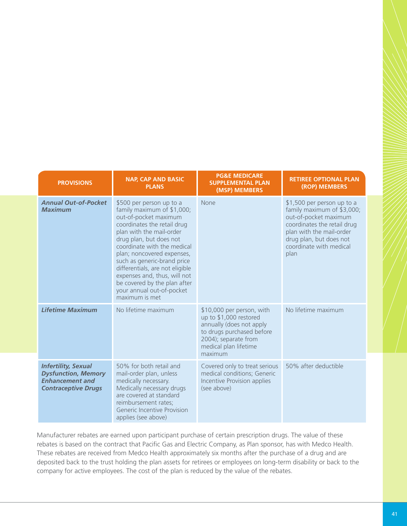| <b>PROVISIONS</b>                                                                                                | <b>NAP, CAP AND BASIC</b><br><b>PLANS</b>                                                                                                                                                                                                                                                                                                                                                                           | <b>PG&amp;E MEDICARE</b><br><b>SUPPLEMENTAL PLAN</b><br>(MSP) MEMBERS                                                                                                    | <b>RETIREE OPTIONAL PLAN</b><br>(ROP) MEMBERS                                                                                                                                                              |
|------------------------------------------------------------------------------------------------------------------|---------------------------------------------------------------------------------------------------------------------------------------------------------------------------------------------------------------------------------------------------------------------------------------------------------------------------------------------------------------------------------------------------------------------|--------------------------------------------------------------------------------------------------------------------------------------------------------------------------|------------------------------------------------------------------------------------------------------------------------------------------------------------------------------------------------------------|
| <b>Annual Out-of-Pocket</b><br><b>Maximum</b>                                                                    | \$500 per person up to a<br>family maximum of \$1,000;<br>out-of-pocket maximum<br>coordinates the retail drug<br>plan with the mail-order<br>drug plan, but does not<br>coordinate with the medical<br>plan; noncovered expenses,<br>such as generic-brand price<br>differentials, are not eligible<br>expenses and, thus, will not<br>be covered by the plan after<br>your annual out-of-pocket<br>maximum is met | None                                                                                                                                                                     | \$1,500 per person up to a<br>family maximum of \$3,000;<br>out-of-pocket maximum<br>coordinates the retail drug<br>plan with the mail-order<br>drug plan, but does not<br>coordinate with medical<br>plan |
| <b>Lifetime Maximum</b>                                                                                          | No lifetime maximum                                                                                                                                                                                                                                                                                                                                                                                                 | \$10,000 per person, with<br>up to \$1,000 restored<br>annually (does not apply<br>to drugs purchased before<br>2004); separate from<br>medical plan lifetime<br>maximum | No lifetime maximum                                                                                                                                                                                        |
| <b>Infertility, Sexual</b><br><b>Dysfunction, Memory</b><br><b>Enhancement and</b><br><b>Contraceptive Drugs</b> | 50% for both retail and<br>mail-order plan, unless<br>medically necessary.<br>Medically necessary drugs<br>are covered at standard<br>reimbursement rates;<br>Generic Incentive Provision<br>applies (see above)                                                                                                                                                                                                    | Covered only to treat serious<br>medical conditions; Generic<br>Incentive Provision applies<br>(see above)                                                               | 50% after deductible                                                                                                                                                                                       |

Manufacturer rebates are earned upon participant purchase of certain prescription drugs. The value of these rebates is based on the contract that Pacific Gas and Electric Company, as Plan sponsor, has with Medco Health. These rebates are received from Medco Health approximately six months after the purchase of a drug and are deposited back to the trust holding the plan assets for retirees or employees on long-term disability or back to the company for active employees. The cost of the plan is reduced by the value of the rebates.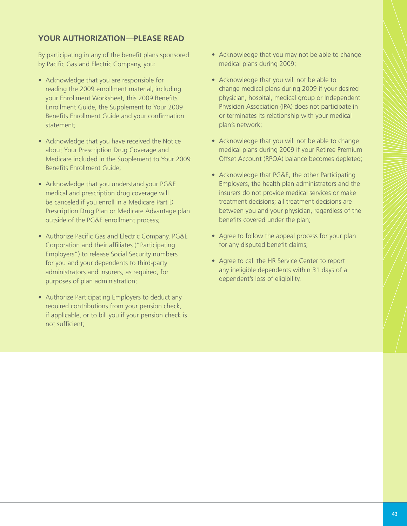#### **YOUR AUTHORIZATION—PLEASE READ**

By participating in any of the benefit plans sponsored by Pacific Gas and Electric Company, you:

- Acknowledge that you are responsible for reading the 2009 enrollment material, including your Enrollment Worksheet, this 2009 Benefits Enrollment Guide, the Supplement to Your 2009 Benefits Enrollment Guide and your confirmation statement;
- Acknowledge that you have received the Notice about Your Prescription Drug Coverage and Medicare included in the Supplement to Your 2009 Benefits Enrollment Guide:
- Acknowledge that you understand your PG&E medical and prescription drug coverage will be canceled if you enroll in a Medicare Part D Prescription Drug Plan or Medicare Advantage plan outside of the PG&E enrollment process;
- Authorize Pacific Gas and Electric Company, PG&E Corporation and their affiliates ("Participating Employers") to release Social Security numbers for you and your dependents to third-party administrators and insurers, as required, for purposes of plan administration;
- Authorize Participating Employers to deduct any required contributions from your pension check, if applicable, or to bill you if your pension check is not sufficient:
- Acknowledge that you may not be able to change medical plans during 2009;
- Acknowledge that you will not be able to change medical plans during 2009 if your desired physician, hospital, medical group or Independent Physician Association (IPA) does not participate in or terminates its relationship with your medical plan's network;
- Acknowledge that you will not be able to change medical plans during 2009 if your Retiree Premium Offset Account (RPOA) balance becomes depleted;
- Acknowledge that PG&E, the other Participating Employers, the health plan administrators and the insurers do not provide medical services or make treatment decisions; all treatment decisions are between you and your physician, regardless of the benefits covered under the plan;
- Agree to follow the appeal process for your plan for any disputed benefit claims;
- Agree to call the HR Service Center to report any ineligible dependents within 31 days of a dependent's loss of eligibility.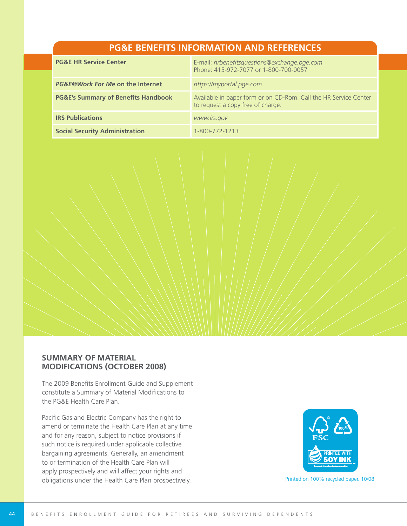#### **PG&E BENEFITS INFORMATION AND REFERENCES**

| <b>PG&amp;E HR Service Center</b>              | E-mail: hrbenefitsquestions@exchange.pge.com<br>Phone: 415-972-7077 or 1-800-700-0057                 |
|------------------------------------------------|-------------------------------------------------------------------------------------------------------|
| PG&E@Work For Me on the Internet               | https://myportal.pge.com                                                                              |
| <b>PG&amp;E's Summary of Benefits Handbook</b> | Available in paper form or on CD-Rom. Call the HR Service Center<br>to request a copy free of charge. |
| <b>IRS Publications</b>                        | www.irs.gov                                                                                           |
| <b>Social Security Administration</b>          | 1-800-772-1213                                                                                        |



The 2009 Benefits Enrollment Guide and Supplement constitute a Summary of Material Modifications to the PG&E Health Care Plan.

Pacific Gas and Electric Company has the right to amend or terminate the Health Care Plan at any time and for any reason, subject to notice provisions if such notice is required under applicable collective bargaining agreements. Generally, an amendment to or termination of the Health Care Plan will apply prospectively and will affect your rights and obligations under the Health Care Plan prospectively. example the state on 100% recycled paper. 10/08

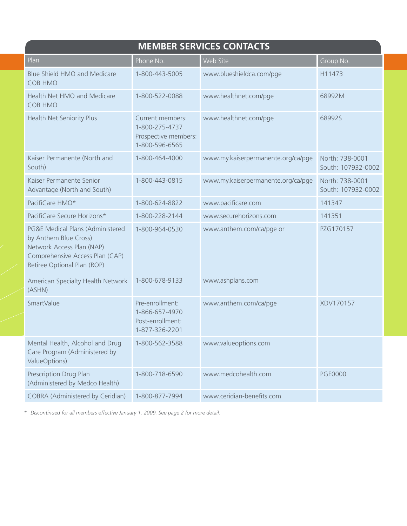| <b>MEMBER SERVICES CONTACTS</b>                                                                                                                          |                                                                              |                                    |                                       |  |
|----------------------------------------------------------------------------------------------------------------------------------------------------------|------------------------------------------------------------------------------|------------------------------------|---------------------------------------|--|
| Plan                                                                                                                                                     | Phone No.                                                                    | Web Site                           | Group No.                             |  |
| Blue Shield HMO and Medicare<br><b>COB HMO</b>                                                                                                           | 1-800-443-5005                                                               | www.blueshieldca.com/pge           | H11473                                |  |
| Health Net HMO and Medicare<br><b>COB HMO</b>                                                                                                            | 1-800-522-0088                                                               | www.healthnet.com/pge              | 68992M                                |  |
| Health Net Seniority Plus                                                                                                                                | Current members:<br>1-800-275-4737<br>Prospective members:<br>1-800-596-6565 | www.healthnet.com/pge              | 68992S                                |  |
| Kaiser Permanente (North and<br>South)                                                                                                                   | 1-800-464-4000                                                               | www.my.kaiserpermanente.org/ca/pge | North: 738-0001<br>South: 107932-0002 |  |
| Kaiser Permanente Senior<br>Advantage (North and South)                                                                                                  | 1-800-443-0815                                                               | www.my.kaiserpermanente.org/ca/pge | North: 738-0001<br>South: 107932-0002 |  |
| PacifiCare HMO*                                                                                                                                          | 1-800-624-8822                                                               | www.pacificare.com                 | 141347                                |  |
| PacifiCare Secure Horizons*                                                                                                                              | 1-800-228-2144                                                               | www.securehorizons.com             | 141351                                |  |
| PG&E Medical Plans (Administered<br>by Anthem Blue Cross)<br>Network Access Plan (NAP)<br>Comprehensive Access Plan (CAP)<br>Retiree Optional Plan (ROP) | 1-800-964-0530                                                               | www.anthem.com/ca/pge or           | PZG170157                             |  |
| American Specialty Health Network<br>(ASHN)                                                                                                              | 1-800-678-9133                                                               | www.ashplans.com                   |                                       |  |
| SmartValue                                                                                                                                               | Pre-enrollment:<br>1-866-657-4970<br>Post-enrollment:<br>1-877-326-2201      | www.anthem.com/ca/pge              | XDV170157                             |  |
| Mental Health, Alcohol and Drug<br>Care Program (Administered by<br>ValueOptions)                                                                        | 1-800-562-3588                                                               | www.valueoptions.com               |                                       |  |
| Prescription Drug Plan<br>(Administered by Medco Health)                                                                                                 | 1-800-718-6590                                                               | www.medcohealth.com                | <b>PGE0000</b>                        |  |
| COBRA (Administered by Ceridian)                                                                                                                         | 1-800-877-7994                                                               | www.ceridian-benefits.com          |                                       |  |

*\* Discontinued for all members effective January 1, 2009. See page 2 for more detail.*